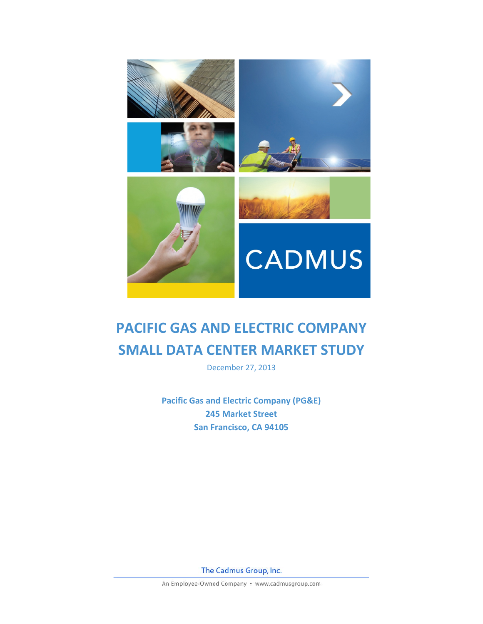

# **PACIFIC GAS AND ELECTRIC COMPANY SMALL DATA CENTER MARKET STUDY**

December 27, 2013

**Pacific Gas and Electric Company (PG&E) 245 Market Street San Francisco, CA 94105**

The Cadmus Group, Inc.

An Employee-Owned Company · www.cadmusgroup.com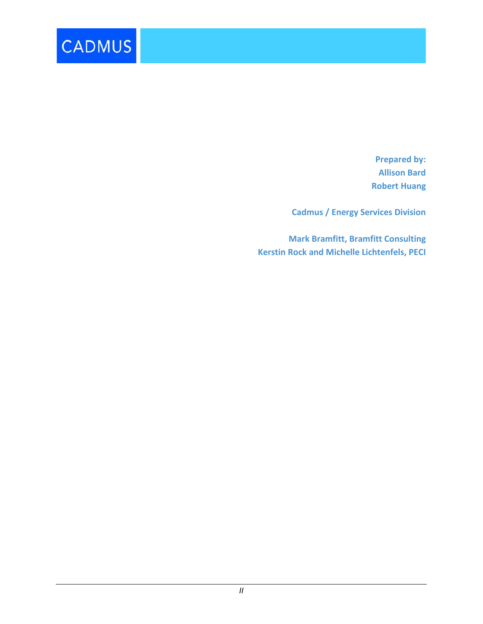

**Prepared by: Allison Bard Robert Huang**

**Cadmus / Energy Services Division**

**Mark Bramfitt, Bramfitt Consulting Kerstin Rock and Michelle Lichtenfels, PECI**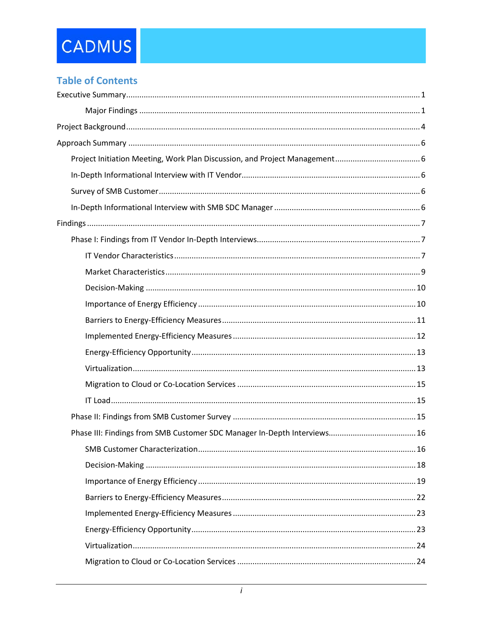# **Table of Contents**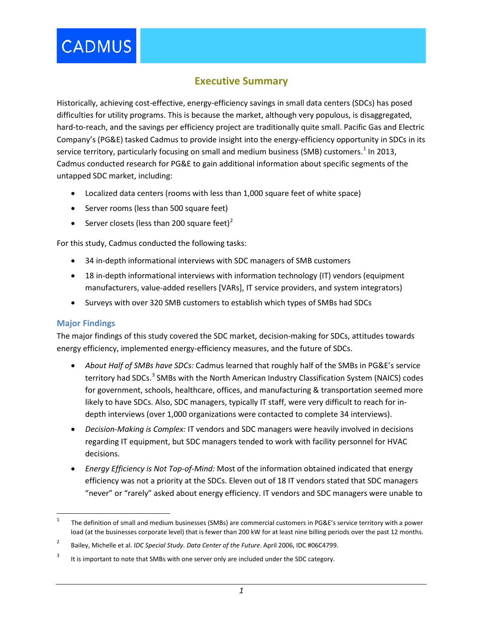# **Executive Summary**

<span id="page-4-0"></span>Historically, achieving cost-effective, energy-efficiency savings in small data centers (SDCs) has posed difficulties for utility programs. This is because the market, although very populous, is disaggregated, hard-to-reach, and the savings per efficiency project are traditionally quite small. Pacific Gas and Electric Company's (PG&E) tasked Cadmus to provide insight into the energy-efficiency opportunity in SDCs in its service territory, particularly focusing on small and medium business (SMB) customers.<sup>[1](#page-4-2)</sup> In 2013, Cadmus conducted research for PG&E to gain additional information about specific segments of the untapped SDC market, including:

- Localized data centers (rooms with less than 1,000 square feet of white space)
- Server rooms (less than 500 square feet)
- Server closets (less than [2](#page-4-3)00 square feet)<sup>2</sup>

For this study, Cadmus conducted the following tasks:

- 34 in-depth informational interviews with SDC managers of SMB customers
- 18 in-depth informational interviews with information technology (IT) vendors (equipment manufacturers, value-added resellers [VARs], IT service providers, and system integrators)
- Surveys with over 320 SMB customers to establish which types of SMBs had SDCs

### <span id="page-4-1"></span>**Major Findings**

The major findings of this study covered the SDC market, decision-making for SDCs, attitudes towards energy efficiency, implemented energy-efficiency measures, and the future of SDCs.

- *About Half of SMBs have SDCs:* Cadmus learned that roughly half of the SMBs in PG&E's service territory had SDCs.<sup>[3](#page-4-4)</sup> SMBs with the North American Industry Classification System (NAICS) codes for government, schools, healthcare, offices, and manufacturing & transportation seemed more likely to have SDCs. Also, SDC managers, typically IT staff, were very difficult to reach for indepth interviews (over 1,000 organizations were contacted to complete 34 interviews).
- *Decision-Making is Complex:* IT vendors and SDC managers were heavily involved in decisions regarding IT equipment, but SDC managers tended to work with facility personnel for HVAC decisions.
- *Energy Efficiency is Not Top-of-Mind:* Most of the information obtained indicated that energy efficiency was not a priority at the SDCs. Eleven out of 18 IT vendors stated that SDC managers "never" or "rarely" asked about energy efficiency. IT vendors and SDC managers were unable to

<span id="page-4-2"></span> $\frac{1}{1}$  The definition of small and medium businesses (SMBs) are commercial customers in PG&E's service territory with a power load (at the businesses corporate level) that is fewer than 200 kW for at least nine billing periods over the past 12 months.

<span id="page-4-3"></span><sup>&</sup>lt;sup>2</sup> Bailey, Michelle et al. *IDC Special Study. Data Center of the Future*. April 2006, IDC #06C4799.

<span id="page-4-4"></span><sup>&</sup>lt;sup>3</sup> It is important to note that SMBs with one server only are included under the SDC category.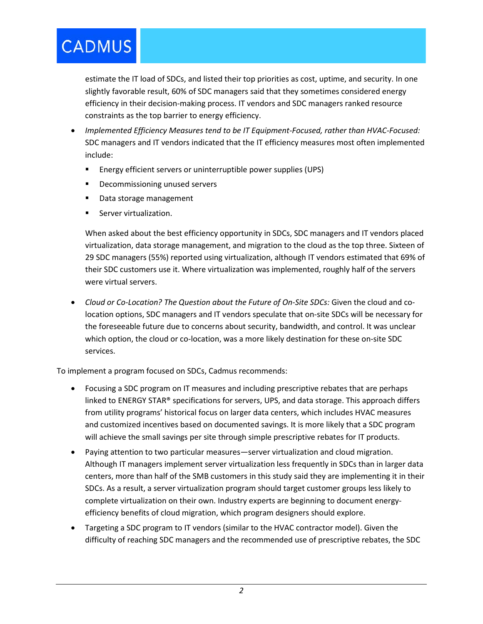estimate the IT load of SDCs, and listed their top priorities as cost, uptime, and security. In one slightly favorable result, 60% of SDC managers said that they sometimes considered energy efficiency in their decision-making process. IT vendors and SDC managers ranked resource constraints as the top barrier to energy efficiency.

- *Implemented Efficiency Measures tend to be IT Equipment-Focused, rather than HVAC-Focused:* SDC managers and IT vendors indicated that the IT efficiency measures most often implemented include:
	- **E** Energy efficient servers or uninterruptible power supplies (UPS)
	- **-** Decommissioning unused servers
	- **Data storage management**
	- **Server virtualization.**

When asked about the best efficiency opportunity in SDCs, SDC managers and IT vendors placed virtualization, data storage management, and migration to the cloud as the top three. Sixteen of 29 SDC managers (55%) reported using virtualization, although IT vendors estimated that 69% of their SDC customers use it. Where virtualization was implemented, roughly half of the servers were virtual servers.

• *Cloud or Co-Location? The Question about the Future of On-Site SDCs:* Given the cloud and colocation options, SDC managers and IT vendors speculate that on-site SDCs will be necessary for the foreseeable future due to concerns about security, bandwidth, and control. It was unclear which option, the cloud or co-location, was a more likely destination for these on-site SDC services.

To implement a program focused on SDCs, Cadmus recommends:

- Focusing a SDC program on IT measures and including prescriptive rebates that are perhaps linked to ENERGY STAR® specifications for servers, UPS, and data storage. This approach differs from utility programs' historical focus on larger data centers, which includes HVAC measures and customized incentives based on documented savings. It is more likely that a SDC program will achieve the small savings per site through simple prescriptive rebates for IT products.
- Paying attention to two particular measures—server virtualization and cloud migration. Although IT managers implement server virtualization less frequently in SDCs than in larger data centers, more than half of the SMB customers in this study said they are implementing it in their SDCs. As a result, a server virtualization program should target customer groups less likely to complete virtualization on their own. Industry experts are beginning to document energyefficiency benefits of cloud migration, which program designers should explore.
- Targeting a SDC program to IT vendors (similar to the HVAC contractor model). Given the difficulty of reaching SDC managers and the recommended use of prescriptive rebates, the SDC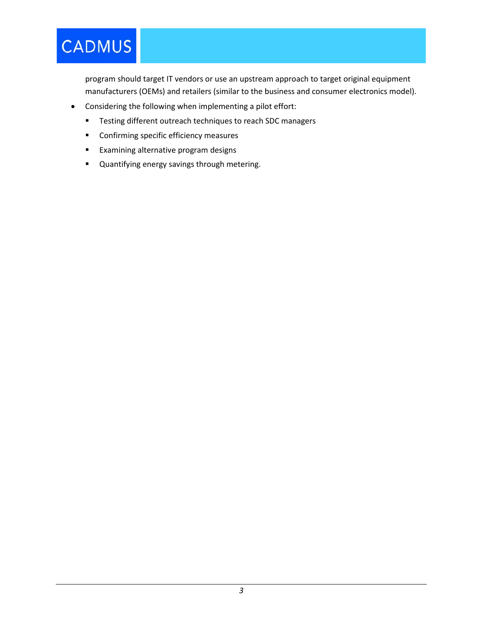program should target IT vendors or use an upstream approach to target original equipment manufacturers (OEMs) and retailers (similar to the business and consumer electronics model).

- Considering the following when implementing a pilot effort:
	- **Testing different outreach techniques to reach SDC managers**
	- **EXECONFILLED SHOTE:** Confirming specific efficiency measures
	- **Examining alternative program designs**
	- Quantifying energy savings through metering.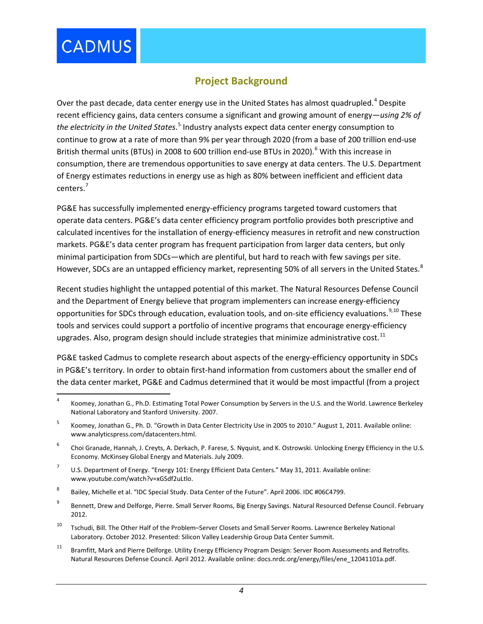# **Project Background**

<span id="page-7-0"></span>Over the past decade, data center energy use in the United States has almost quadrupled.<sup>[4](#page-7-1)</sup> Despite recent efficiency gains, data centers consume a significant and growing amount of energy—*using 2% of*  the electricity in the United States.<sup>[5](#page-7-2)</sup> Industry analysts expect data center energy consumption to continue to grow at a rate of more than 9% per year through 2020 (from a base of 200 trillion end-use British thermal units (BTUs) in 2008 to [6](#page-7-3)00 trillion end-use BTUs in 2020).<sup>6</sup> With this increase in consumption, there are tremendous opportunities to save energy at data centers. The U.S. Department of Energy estimates reductions in energy use as high as 80% between inefficient and efficient data centers. [7](#page-7-4)

PG&E has successfully implemented energy-efficiency programs targeted toward customers that operate data centers. PG&E's data center efficiency program portfolio provides both prescriptive and calculated incentives for the installation of energy-efficiency measures in retrofit and new construction markets. PG&E's data center program has frequent participation from larger data centers, but only minimal participation from SDCs—which are plentiful, but hard to reach with few savings per site. However, SDCs are an untapped efficiency market, representing 50% of all servers in the United States.<sup>[8](#page-7-5)</sup>

Recent studies highlight the untapped potential of this market. The Natural Resources Defense Council and the Department of Energy believe that program implementers can increase energy-efficiency opportunities for SDCs through education, evaluation tools, and on-site efficiency evaluations.<sup>[9,](#page-7-6)[10](#page-7-7)</sup> These tools and services could support a portfolio of incentive programs that encourage energy-efficiency upgrades. Also, program design should include strategies that minimize administrative cost.<sup>[11](#page-7-8)</sup>

PG&E tasked Cadmus to complete research about aspects of the energy-efficiency opportunity in SDCs in PG&E's territory. In order to obtain first-hand information from customers about the smaller end of the data center market, PG&E and Cadmus determined that it would be most impactful (from a project

<span id="page-7-1"></span> <sup>4</sup> Koomey, Jonathan G., Ph.D. Estimating Total Power Consumption by Servers in the U.S. and the World. Lawrence Berkeley National Laboratory and Stanford University. 2007.

<span id="page-7-2"></span><sup>5</sup> Koomey, Jonathan G., Ph. D. "Growth in Data Center Electricity Use in 2005 to 2010." August 1, 2011. Available online: www.analyticspress.com/datacenters.html.

<span id="page-7-3"></span><sup>6</sup> Choi Granade, Hannah, J. Creyts, A. Derkach, P. Farese, S. Nyquist, and K. Ostrowski. Unlocking Energy Efficiency in the U.S. Economy. McKinsey Global Energy and Materials. July 2009.

<span id="page-7-4"></span><sup>7</sup> U.S. Department of Energy. "Energy 101: Energy Efficient Data Centers." May 31, 2011. Available online: [www.youtube.com/watch?v=xGSdf2uLtlo.](http://www.youtube.com/watch?v=xGSdf2uLtlo) 

<span id="page-7-5"></span><sup>8</sup> Bailey, Michelle et al. "IDC Special Study. Data Center of the Future". April 2006. IDC #06C4799.

<span id="page-7-6"></span><sup>9</sup> Bennett, Drew and Delforge, Pierre. Small Server Rooms, Big Energy Savings. Natural Resourced Defense Council. February 2012.

<span id="page-7-7"></span><sup>&</sup>lt;sup>10</sup> Tschudi, Bill. The Other Half of the Problem–Server Closets and Small Server Rooms. Lawrence Berkeley National Laboratory. October 2012. Presented: Silicon Valley Leadership Group Data Center Summit.

<span id="page-7-8"></span><sup>&</sup>lt;sup>11</sup> Bramfitt, Mark and Pierre Delforge. Utility Energy Efficiency Program Design: Server Room Assessments and Retrofits. Natural Resources Defense Council. April 2012. Available online: docs.nrdc.org/energy/files/ene\_12041101a.pdf.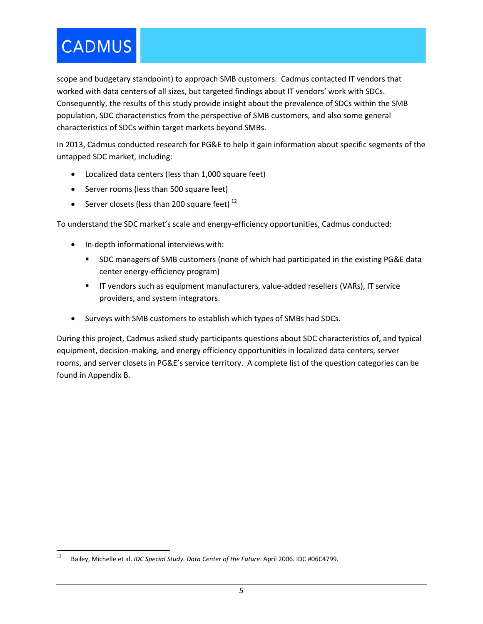scope and budgetary standpoint) to approach SMB customers. Cadmus contacted IT vendors that worked with data centers of all sizes, but targeted findings about IT vendors' work with SDCs. Consequently, the results of this study provide insight about the prevalence of SDCs within the SMB population, SDC characteristics from the perspective of SMB customers, and also some general characteristics of SDCs within target markets beyond SMBs.

In 2013, Cadmus conducted research for PG&E to help it gain information about specific segments of the untapped SDC market, including:

- Localized data centers (less than 1,000 square feet)
- Server rooms (less than 500 square feet)
- Server closets (less than 200 square feet)  $^{12}$  $^{12}$  $^{12}$

To understand the SDC market's scale and energy-efficiency opportunities, Cadmus conducted:

- In-depth informational interviews with:
	- **SDC** managers of SMB customers (none of which had participated in the existing PG&E data center energy-efficiency program)
	- IT vendors such as equipment manufacturers, value-added resellers (VARs), IT service providers, and system integrators.
- Surveys with SMB customers to establish which types of SMBs had SDCs.

During this project, Cadmus asked study participants questions about SDC characteristics of, and typical equipment, decision-making, and energy efficiency opportunities in localized data centers, server rooms, and server closets in PG&E's service territory. A complete list of the question categories can be found in [Appendix B.](#page-36-0)

<span id="page-8-0"></span> <sup>12</sup> Bailey, Michelle et al. *IDC Special Study. Data Center of the Future*. April 2006. IDC #06C4799.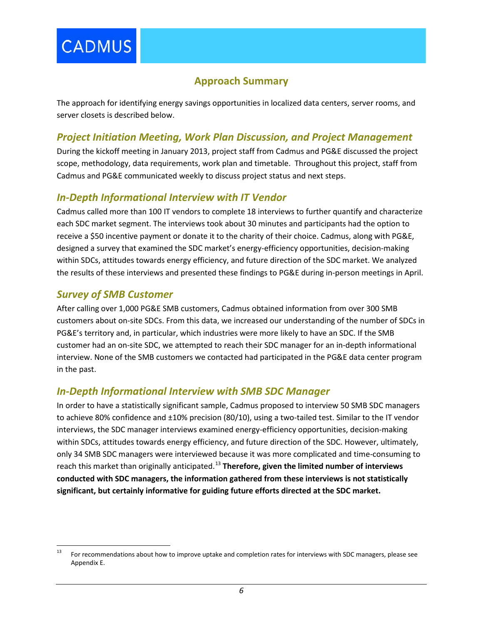# **Approach Summary**

<span id="page-9-0"></span>The approach for identifying energy savings opportunities in localized data centers, server rooms, and server closets is described below.

# <span id="page-9-1"></span>*Project Initiation Meeting, Work Plan Discussion, and Project Management*

During the kickoff meeting in January 2013, project staff from Cadmus and PG&E discussed the project scope, methodology, data requirements, work plan and timetable. Throughout this project, staff from Cadmus and PG&E communicated weekly to discuss project status and next steps.

# <span id="page-9-2"></span>*In-Depth Informational Interview with IT Vendor*

Cadmus called more than 100 IT vendors to complete 18 interviews to further quantify and characterize each SDC market segment. The interviews took about 30 minutes and participants had the option to receive a \$50 incentive payment or donate it to the charity of their choice. Cadmus, along with PG&E, designed a survey that examined the SDC market's energy-efficiency opportunities, decision-making within SDCs, attitudes towards energy efficiency, and future direction of the SDC market. We analyzed the results of these interviews and presented these findings to PG&E during in-person meetings in April.

# <span id="page-9-3"></span>*Survey of SMB Customer*

After calling over 1,000 PG&E SMB customers, Cadmus obtained information from over 300 SMB customers about on-site SDCs. From this data, we increased our understanding of the number of SDCs in PG&E's territory and, in particular, which industries were more likely to have an SDC. If the SMB customer had an on-site SDC, we attempted to reach their SDC manager for an in-depth informational interview. None of the SMB customers we contacted had participated in the PG&E data center program in the past.

# <span id="page-9-4"></span>*In-Depth Informational Interview with SMB SDC Manager*

In order to have a statistically significant sample, Cadmus proposed to interview 50 SMB SDC managers to achieve 80% confidence and ±10% precision (80/10), using a two-tailed test. Similar to the IT vendor interviews, the SDC manager interviews examined energy-efficiency opportunities, decision-making within SDCs, attitudes towards energy efficiency, and future direction of the SDC. However, ultimately, only 34 SMB SDC managers were interviewed because it was more complicated and time-consuming to reach this market than originally anticipated. [13](#page-9-5) **Therefore, given the limited number of interviews conducted with SDC managers, the information gathered from these interviews is not statistically significant, but certainly informative for guiding future efforts directed at the SDC market.** 

<span id="page-9-5"></span><sup>&</sup>lt;sup>13</sup> For recommendations about how to improve uptake and completion rates for interviews with SDC managers, please see [Appendix E.](#page-48-0)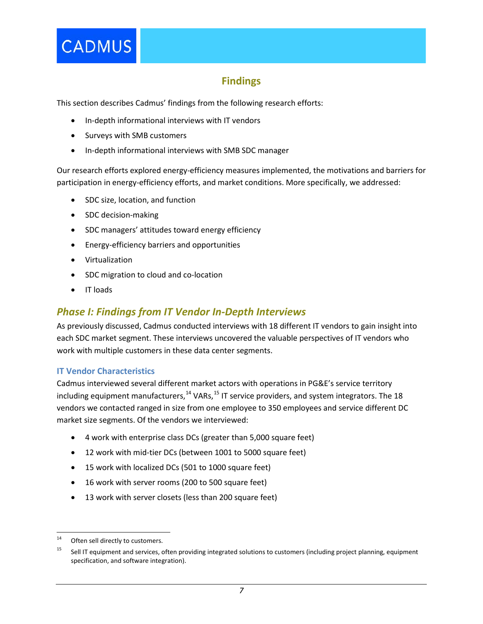

# **Findings**

<span id="page-10-0"></span>This section describes Cadmus' findings from the following research efforts:

- In-depth informational interviews with IT vendors
- Surveys with SMB customers
- In-depth informational interviews with SMB SDC manager

Our research efforts explored energy-efficiency measures implemented, the motivations and barriers for participation in energy-efficiency efforts, and market conditions. More specifically, we addressed:

- SDC size, location, and function
- SDC decision-making
- SDC managers' attitudes toward energy efficiency
- Energy-efficiency barriers and opportunities
- Virtualization
- SDC migration to cloud and co-location
- IT loads

# <span id="page-10-1"></span>*Phase I: Findings from IT Vendor In-Depth Interviews*

As previously discussed, Cadmus conducted interviews with 18 different IT vendors to gain insight into each SDC market segment. These interviews uncovered the valuable perspectives of IT vendors who work with multiple customers in these data center segments.

### <span id="page-10-2"></span>**IT Vendor Characteristics**

Cadmus interviewed several different market actors with operations in PG&E's service territory including equipment manufacturers,<sup>[14](#page-10-3)</sup> VARs,<sup>[15](#page-10-4)</sup> IT service providers, and system integrators. The 18 vendors we contacted ranged in size from one employee to 350 employees and service different DC market size segments. Of the vendors we interviewed:

- 4 work with enterprise class DCs (greater than 5,000 square feet)
- 12 work with mid-tier DCs (between 1001 to 5000 square feet)
- 15 work with localized DCs (501 to 1000 square feet)
- 16 work with server rooms (200 to 500 square feet)
- 13 work with server closets (less than 200 square feet)

<span id="page-10-3"></span><sup>&</sup>lt;sup>14</sup> Often sell directly to customers.

<span id="page-10-4"></span><sup>&</sup>lt;sup>15</sup> Sell IT equipment and services, often providing integrated solutions to customers (including project planning, equipment specification, and software integration).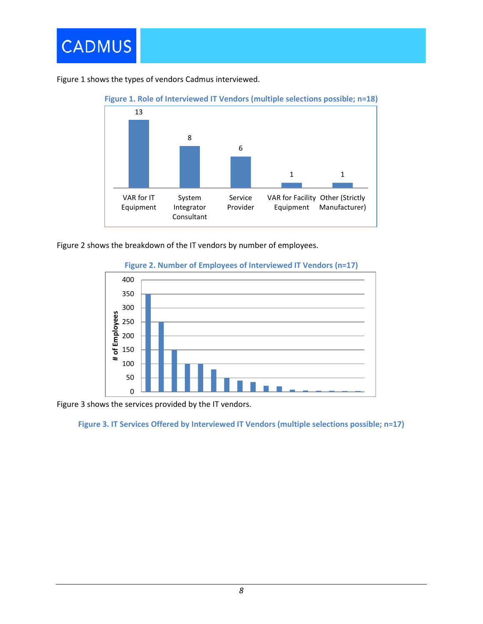

<span id="page-11-0"></span>[Figure 1](#page-11-0) shows the types of vendors Cadmus interviewed.



<span id="page-11-1"></span>[Figure 2](#page-11-1) shows the breakdown of the IT vendors by number of employees.

# 400 350 300 # of Employees **# of Employees**250 200 150 100 50 0

#### **Figure 2. Number of Employees of Interviewed IT Vendors (n=17)**

<span id="page-11-2"></span>[Figure 3](#page-11-2) shows the services provided by the IT vendors.

**Figure 3. IT Services Offered by Interviewed IT Vendors (multiple selections possible; n=17)**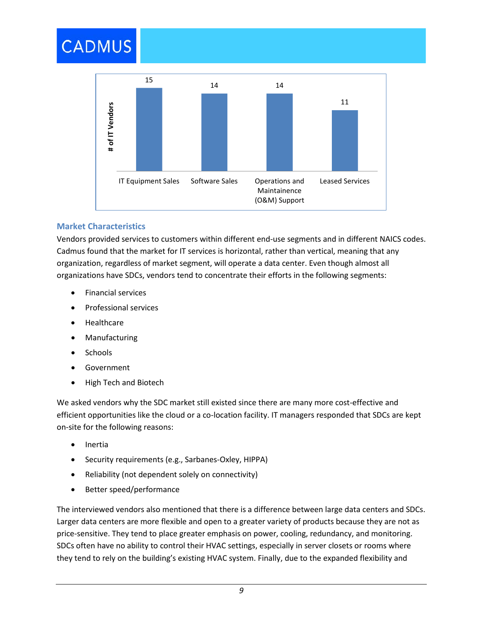

# <span id="page-12-0"></span>**Market Characteristics**

Vendors provided services to customers within different end-use segments and in different NAICS codes. Cadmus found that the market for IT services is horizontal, rather than vertical, meaning that any organization, regardless of market segment, will operate a data center. Even though almost all organizations have SDCs, vendors tend to concentrate their efforts in the following segments:

- Financial services
- Professional services
- **Healthcare**
- **Manufacturing**
- Schools
- **Government**
- High Tech and Biotech

We asked vendors why the SDC market still existed since there are many more cost-effective and efficient opportunities like the cloud or a co-location facility. IT managers responded that SDCs are kept on-site for the following reasons:

- **Inertia**
- Security requirements (e.g., Sarbanes-Oxley, HIPPA)
- Reliability (not dependent solely on connectivity)
- Better speed/performance

The interviewed vendors also mentioned that there is a difference between large data centers and SDCs. Larger data centers are more flexible and open to a greater variety of products because they are not as price-sensitive. They tend to place greater emphasis on power, cooling, redundancy, and monitoring. SDCs often have no ability to control their HVAC settings, especially in server closets or rooms where they tend to rely on the building's existing HVAC system. Finally, due to the expanded flexibility and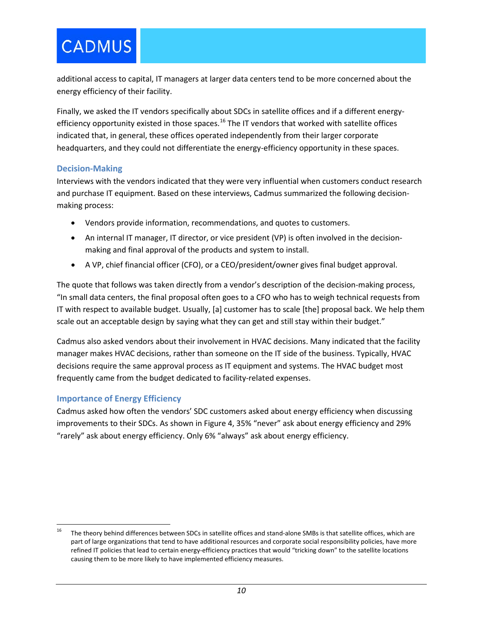additional access to capital, IT managers at larger data centers tend to be more concerned about the energy efficiency of their facility.

Finally, we asked the IT vendors specifically about SDCs in satellite offices and if a different energy-efficiency opportunity existed in those spaces.<sup>[16](#page-13-2)</sup> The IT vendors that worked with satellite offices indicated that, in general, these offices operated independently from their larger corporate headquarters, and they could not differentiate the energy-efficiency opportunity in these spaces.

### <span id="page-13-0"></span>**Decision-Making**

Interviews with the vendors indicated that they were very influential when customers conduct research and purchase IT equipment. Based on these interviews, Cadmus summarized the following decisionmaking process:

- Vendors provide information, recommendations, and quotes to customers.
- An internal IT manager, IT director, or vice president (VP) is often involved in the decisionmaking and final approval of the products and system to install.
- A VP, chief financial officer (CFO), or a CEO/president/owner gives final budget approval.

The quote that follows was taken directly from a vendor's description of the decision-making process, "In small data centers, the final proposal often goes to a CFO who has to weigh technical requests from IT with respect to available budget. Usually, [a] customer has to scale [the] proposal back. We help them scale out an acceptable design by saying what they can get and still stay within their budget."

Cadmus also asked vendors about their involvement in HVAC decisions. Many indicated that the facility manager makes HVAC decisions, rather than someone on the IT side of the business. Typically, HVAC decisions require the same approval process as IT equipment and systems. The HVAC budget most frequently came from the budget dedicated to facility-related expenses.

# <span id="page-13-1"></span>**Importance of Energy Efficiency**

Cadmus asked how often the vendors' SDC customers asked about energy efficiency when discussing improvements to their SDCs. As shown in [Figure 4,](#page-14-1) 35% "never" ask about energy efficiency and 29% "rarely" ask about energy efficiency. Only 6% "always" ask about energy efficiency.

<span id="page-13-2"></span> <sup>16</sup> The theory behind differences between SDCs in satellite offices and stand-alone SMBs is that satellite offices, which are part of large organizations that tend to have additional resources and corporate social responsibility policies, have more refined IT policies that lead to certain energy-efficiency practices that would "tricking down" to the satellite locations causing them to be more likely to have implemented efficiency measures.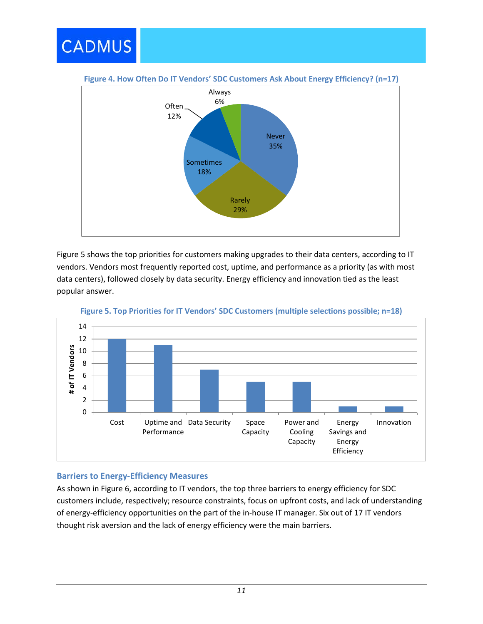<span id="page-14-1"></span>

[Figure 5](#page-14-2) shows the top priorities for customers making upgrades to their data centers, according to IT vendors. Vendors most frequently reported cost, uptime, and performance as a priority (as with most data centers), followed closely by data security. Energy efficiency and innovation tied as the least popular answer.

<span id="page-14-2"></span>

**Figure 5. Top Priorities for IT Vendors' SDC Customers (multiple selections possible; n=18)**

# <span id="page-14-0"></span>**Barriers to Energy-Efficiency Measures**

**CADMUS** 

As shown in [Figure 6,](#page-15-1) according to IT vendors, the top three barriers to energy efficiency for SDC customers include, respectively; resource constraints, focus on upfront costs, and lack of understanding of energy-efficiency opportunities on the part of the in-house IT manager. Six out of 17 IT vendors thought risk aversion and the lack of energy efficiency were the main barriers.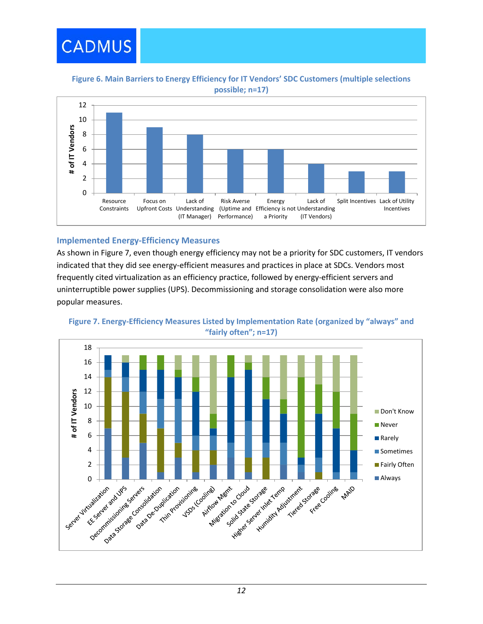

**Figure 6. Main Barriers to Energy Efficiency for IT Vendors' SDC Customers (multiple selections possible; n=17)**

<span id="page-15-1"></span>

# <span id="page-15-0"></span>**Implemented Energy-Efficiency Measures**

As shown in [Figure 7,](#page-15-2) even though energy efficiency may not be a priority for SDC customers, IT vendors indicated that they did see energy-efficient measures and practices in place at SDCs. Vendors most frequently cited virtualization as an efficiency practice, followed by energy-efficient servers and uninterruptible power supplies (UPS). Decommissioning and storage consolidation were also more popular measures.



<span id="page-15-2"></span>**Figure 7. Energy-Efficiency Measures Listed by Implementation Rate (organized by "always" and "fairly often"; n=17)**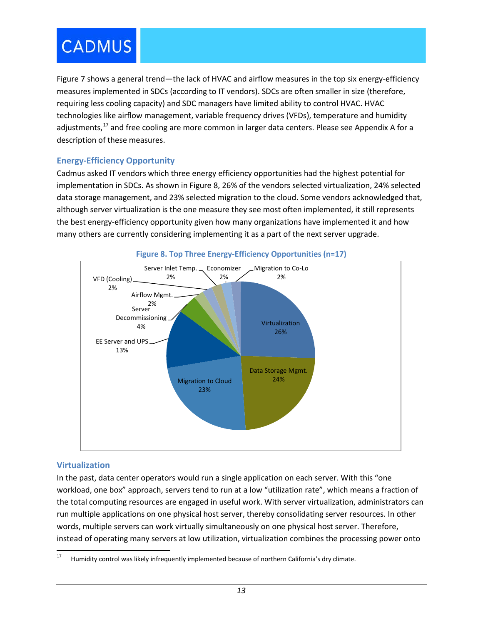[Figure 7](#page-15-2) shows a general trend—the lack of HVAC and airflow measures in the top six energy-efficiency measures implemented in SDCs (according to IT vendors). SDCs are often smaller in size (therefore, requiring less cooling capacity) and SDC managers have limited ability to control HVAC. HVAC technologies like airflow management, variable frequency drives (VFDs), temperature and humidity adjustments,<sup>[17](#page-16-3)</sup> and free cooling are more common in larger data centers. Please see Appendix A for a description of these measures.

# <span id="page-16-0"></span>**Energy-Efficiency Opportunity**

Cadmus asked IT vendors which three energy efficiency opportunities had the highest potential for implementation in SDCs. As shown in [Figure 8,](#page-16-2) 26% of the vendors selected virtualization, 24% selected data storage management, and 23% selected migration to the cloud. Some vendors acknowledged that, although server virtualization is the one measure they see most often implemented, it still represents the best energy-efficiency opportunity given how many organizations have implemented it and how many others are currently considering implementing it as a part of the next server upgrade.

<span id="page-16-2"></span>

### **Figure 8. Top Three Energy-Efficiency Opportunities (n=17)**

# <span id="page-16-1"></span>**Virtualization**

In the past, data center operators would run a single application on each server. With this "one workload, one box" approach, servers tend to run at a low "utilization rate", which means a fraction of the total computing resources are engaged in useful work. With server virtualization, administrators can run multiple applications on one physical host server, thereby consolidating server resources. In other words, multiple servers can work virtually simultaneously on one physical host server. Therefore, instead of operating many servers at low utilization, virtualization combines the processing power onto

<span id="page-16-3"></span><sup>&</sup>lt;sup>17</sup> Humidity control was likely infrequently implemented because of northern California's dry climate.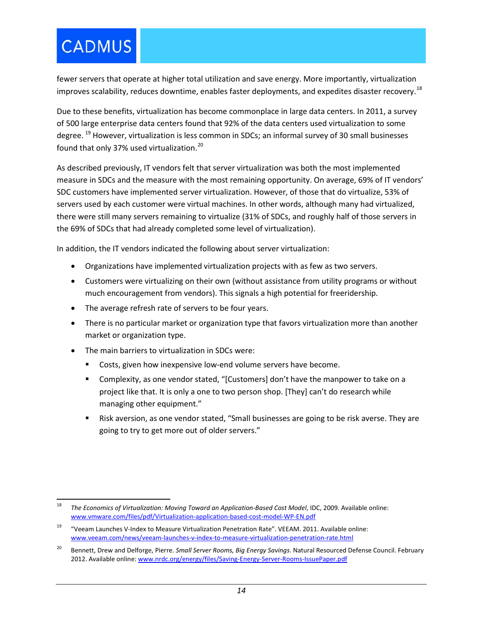fewer servers that operate at higher total utilization and save energy. More importantly, virtualization improves scalability, reduces downtime, enables faster deployments, and expedites disaster recovery.<sup>[18](#page-17-0)</sup>

Due to these benefits, virtualization has become commonplace in large data centers. In 2011, a survey of 500 large enterprise data centers found that 92% of the data centers used virtualization to some degree.<sup>[19](#page-17-1)</sup> However, virtualization is less common in SDCs; an informal survey of 30 small businesses found that only 37% used virtualization.<sup>[20](#page-17-2)</sup>

As described previously, IT vendors felt that server virtualization was both the most implemented measure in SDCs and the measure with the most remaining opportunity. On average, 69% of IT vendors' SDC customers have implemented server virtualization. However, of those that do virtualize, 53% of servers used by each customer were virtual machines. In other words, although many had virtualized, there were still many servers remaining to virtualize (31% of SDCs, and roughly half of those servers in the 69% of SDCs that had already completed some level of virtualization).

In addition, the IT vendors indicated the following about server virtualization:

- Organizations have implemented virtualization projects with as few as two servers.
- Customers were virtualizing on their own (without assistance from utility programs or without much encouragement from vendors). This signals a high potential for freeridership.
- The average refresh rate of servers to be four years.
- There is no particular market or organization type that favors virtualization more than another market or organization type.
- The main barriers to virtualization in SDCs were:
	- **Costs, given how inexpensive low-end volume servers have become.**
	- Complexity, as one vendor stated, "[Customers] don't have the manpower to take on a project like that. It is only a one to two person shop. [They] can't do research while managing other equipment."
	- **F** Risk aversion, as one vendor stated, "Small businesses are going to be risk averse. They are going to try to get more out of older servers."

<span id="page-17-0"></span> <sup>18</sup> *The Economics of Virtualization: Moving Toward an Application-Based Cost Model*, IDC, 2009. Available online: [www.vmware.com/files/pdf/Virtualization-application-based-cost-model-WP-EN.pdf](http://www.vmware.com/files/pdf/Virtualization-application-based-cost-model-WP-EN.pdf)

<span id="page-17-1"></span><sup>19</sup> "Veeam Launches V-Index to Measure Virtualization Penetration Rate". VEEAM. 2011. Available online: [www.veeam.com/news/veeam-launches-v-index-to-measure-virtualization-penetration-rate.html](http://www.veeam.com/news/veeam-launches-v-index-to-measure-virtualization-penetration-rate.html)

<span id="page-17-2"></span><sup>20</sup> Bennett, Drew and Delforge, Pierre. *Small Server Rooms, Big Energy Savings*. Natural Resourced Defense Council. February 2012. Available online: www.nrdc.org/energy/files/Saving-Energy-Server-Rooms-IssuePaper.pdf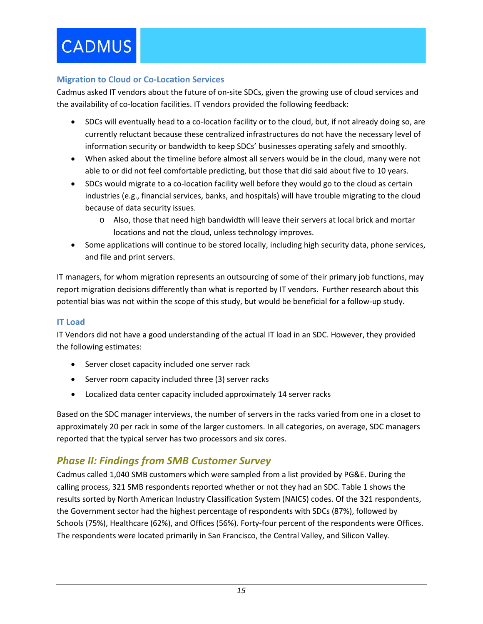### <span id="page-18-0"></span>**Migration to Cloud or Co-Location Services**

Cadmus asked IT vendors about the future of on-site SDCs, given the growing use of cloud services and the availability of co-location facilities. IT vendors provided the following feedback:

- SDCs will eventually head to a co-location facility or to the cloud, but, if not already doing so, are currently reluctant because these centralized infrastructures do not have the necessary level of information security or bandwidth to keep SDCs' businesses operating safely and smoothly.
- When asked about the timeline before almost all servers would be in the cloud, many were not able to or did not feel comfortable predicting, but those that did said about five to 10 years.
- SDCs would migrate to a co-location facility well before they would go to the cloud as certain industries (e.g., financial services, banks, and hospitals) will have trouble migrating to the cloud because of data security issues.
	- o Also, those that need high bandwidth will leave their servers at local brick and mortar locations and not the cloud, unless technology improves.
- Some applications will continue to be stored locally, including high security data, phone services, and file and print servers.

IT managers, for whom migration represents an outsourcing of some of their primary job functions, may report migration decisions differently than what is reported by IT vendors. Further research about this potential bias was not within the scope of this study, but would be beneficial for a follow-up study.

### <span id="page-18-1"></span>**IT Load**

IT Vendors did not have a good understanding of the actual IT load in an SDC. However, they provided the following estimates:

- Server closet capacity included one server rack
- Server room capacity included three (3) server racks
- Localized data center capacity included approximately 14 server racks

Based on the SDC manager interviews, the number of servers in the racks varied from one in a closet to approximately 20 per rack in some of the larger customers. In all categories, on average, SDC managers reported that the typical server has two processors and six cores.

# <span id="page-18-2"></span>*Phase II: Findings from SMB Customer Survey*

Cadmus called 1,040 SMB customers which were sampled from a list provided by PG&E. During the calling process, 321 SMB respondents reported whether or not they had an SDC[. Table 1](#page-19-2) shows the results sorted by North American Industry Classification System (NAICS) codes. Of the 321 respondents, the Government sector had the highest percentage of respondents with SDCs (87%), followed by Schools (75%), Healthcare (62%), and Offices (56%). Forty-four percent of the respondents were Offices. The respondents were located primarily in San Francisco, the Central Valley, and Silicon Valley.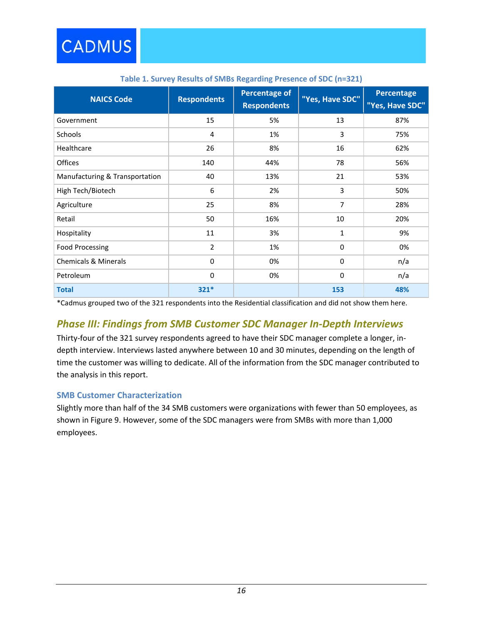<span id="page-19-2"></span>

| <b>NAICS Code</b>               | <b>Respondents</b> | <b>Percentage of</b><br><b>Respondents</b> | "Yes, Have SDC" | <b>Percentage</b><br>"Yes, Have SDC" |
|---------------------------------|--------------------|--------------------------------------------|-----------------|--------------------------------------|
| Government                      | 15                 | 5%                                         | 13              | 87%                                  |
| <b>Schools</b>                  | 4                  | 1%                                         | 3               | 75%                                  |
| Healthcare                      | 26                 | 8%                                         | 16              | 62%                                  |
| <b>Offices</b>                  | 140                | 44%                                        | 78              | 56%                                  |
| Manufacturing & Transportation  | 40                 | 13%                                        | 21              | 53%                                  |
| High Tech/Biotech               | 6                  | 2%                                         | 3               | 50%                                  |
| Agriculture                     | 25                 | 8%                                         | 7               | 28%                                  |
| Retail                          | 50                 | 16%                                        | 10              | 20%                                  |
| Hospitality                     | 11                 | 3%                                         | $\mathbf{1}$    | 9%                                   |
| <b>Food Processing</b>          | $\overline{2}$     | 1%                                         | $\Omega$        | 0%                                   |
| <b>Chemicals &amp; Minerals</b> | 0                  | 0%                                         | $\mathbf 0$     | n/a                                  |
| Petroleum                       | $\Omega$           | 0%                                         | $\Omega$        | n/a                                  |
| <b>Total</b>                    | $321*$             |                                            | 153             | 48%                                  |

### **Table 1. Survey Results of SMBs Regarding Presence of SDC (n=321)**

\*Cadmus grouped two of the 321 respondents into the Residential classification and did not show them here.

# <span id="page-19-0"></span>*Phase III: Findings from SMB Customer SDC Manager In-Depth Interviews*

Thirty-four of the 321 survey respondents agreed to have their SDC manager complete a longer, indepth interview. Interviews lasted anywhere between 10 and 30 minutes, depending on the length of time the customer was willing to dedicate. All of the information from the SDC manager contributed to the analysis in this report.

### <span id="page-19-1"></span>**SMB Customer Characterization**

Slightly more than half of the 34 SMB customers were organizations with fewer than 50 employees, as shown in [Figure](#page-20-0) 9. However, some of the SDC managers were from SMBs with more than 1,000 employees.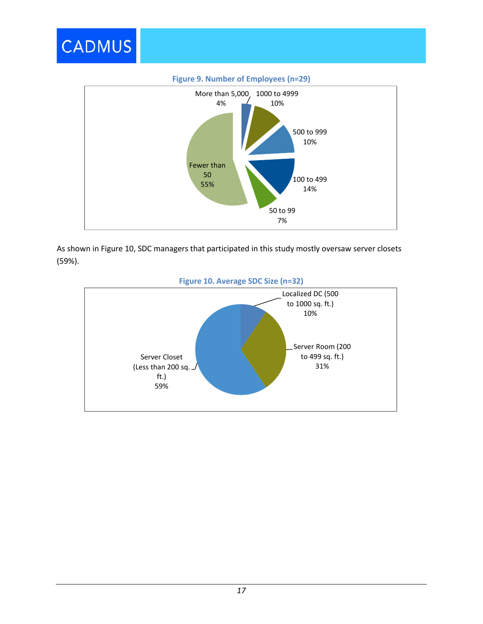<span id="page-20-0"></span>

As shown in [Figure 10,](#page-20-1) SDC managers that participated in this study mostly oversaw server closets (59%).

<span id="page-20-1"></span>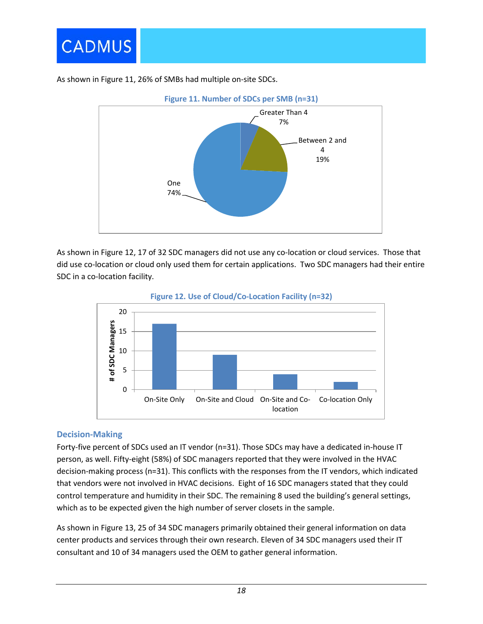



<span id="page-21-1"></span>As shown in [Figure 11,](#page-21-1) 26% of SMBs had multiple on-site SDCs.

As shown in [Figure 12,](#page-21-2) 17 of 32 SDC managers did not use any co-location or cloud services. Those that did use co-location or cloud only used them for certain applications. Two SDC managers had their entire SDC in a co-location facility.

<span id="page-21-2"></span>



### <span id="page-21-0"></span>**Decision-Making**

Forty-five percent of SDCs used an IT vendor (n=31). Those SDCs may have a dedicated in-house IT person, as well. Fifty-eight (58%) of SDC managers reported that they were involved in the HVAC decision-making process (n=31). This conflicts with the responses from the IT vendors, which indicated that vendors were not involved in HVAC decisions. Eight of 16 SDC managers stated that they could control temperature and humidity in their SDC. The remaining 8 used the building's general settings, which as to be expected given the high number of server closets in the sample.

As shown in [Figure 13,](#page-22-1) 25 of 34 SDC managers primarily obtained their general information on data center products and services through their own research. Eleven of 34 SDC managers used their IT consultant and 10 of 34 managers used the OEM to gather general information.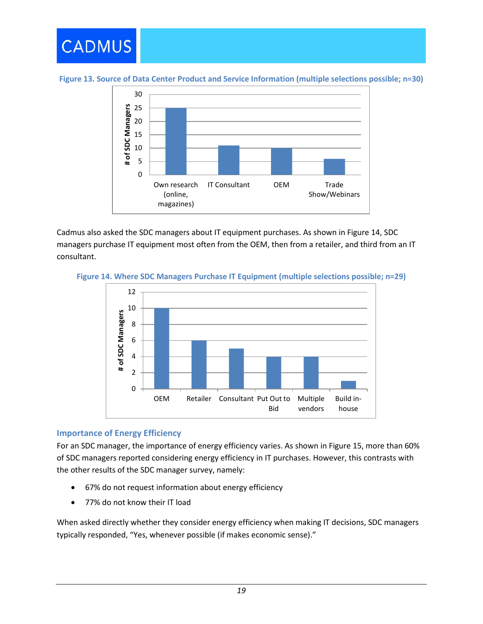<span id="page-22-1"></span>

**Figure 13. Source of Data Center Product and Service Information (multiple selections possible; n=30)**



Cadmus also asked the SDC managers about IT equipment purchases. As shown in [Figure 14,](#page-22-2) SDC managers purchase IT equipment most often from the OEM, then from a retailer, and third from an IT consultant.

<span id="page-22-2"></span>**Figure 14. Where SDC Managers Purchase IT Equipment (multiple selections possible; n=29)**



### <span id="page-22-0"></span>**Importance of Energy Efficiency**

For an SDC manager, the importance of energy efficiency varies. As shown in [Figure 15,](#page-23-0) more than 60% of SDC managers reported considering energy efficiency in IT purchases. However, this contrasts with the other results of the SDC manager survey, namely:

- 67% do not request information about energy efficiency
- 77% do not know their IT load

When asked directly whether they consider energy efficiency when making IT decisions, SDC managers typically responded, "Yes, whenever possible (if makes economic sense)."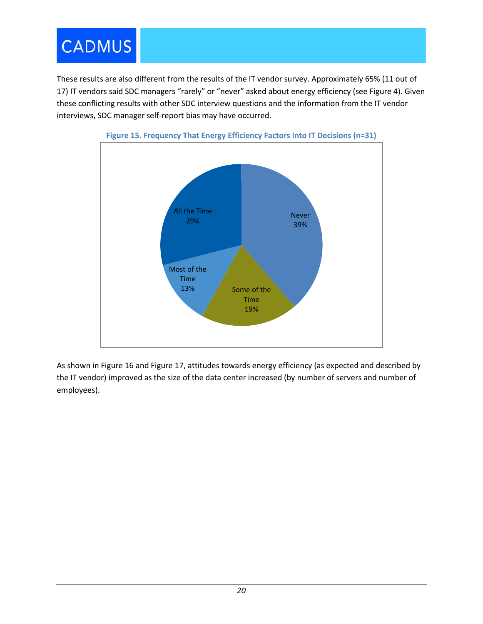

These results are also different from the results of the IT vendor survey. Approximately 65% (11 out of 17) IT vendors said SDC managers "rarely" or "never" asked about energy efficiency (see [Figure 4\)](#page-14-1). Given these conflicting results with other SDC interview questions and the information from the IT vendor interviews, SDC manager self-report bias may have occurred.

<span id="page-23-0"></span>



As shown in [Figure 16](#page-24-0) and [Figure 17,](#page-24-1) attitudes towards energy efficiency (as expected and described by the IT vendor) improved as the size of the data center increased (by number of servers and number of employees).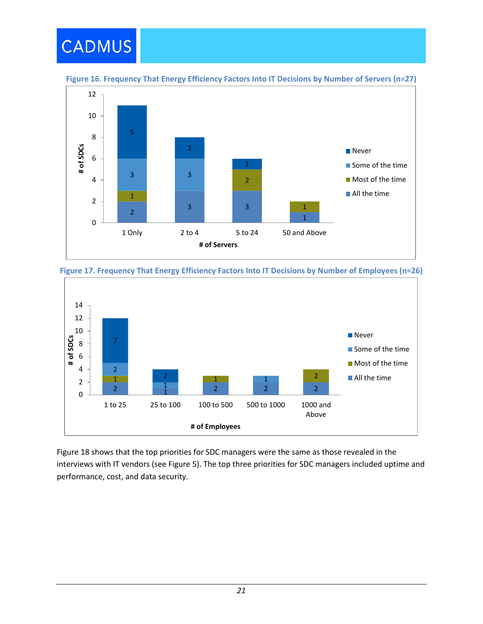

<span id="page-24-0"></span>**Figure 16. Frequency That Energy Efficiency Factors Into IT Decisions by Number of Servers (n=27)**

<span id="page-24-1"></span>



[Figure 18](#page-25-1) shows that the top priorities for SDC managers were the same as those revealed in the interviews with IT vendors (se[e Figure 5\)](#page-14-2). The top three priorities for SDC managers included uptime and performance, cost, and data security.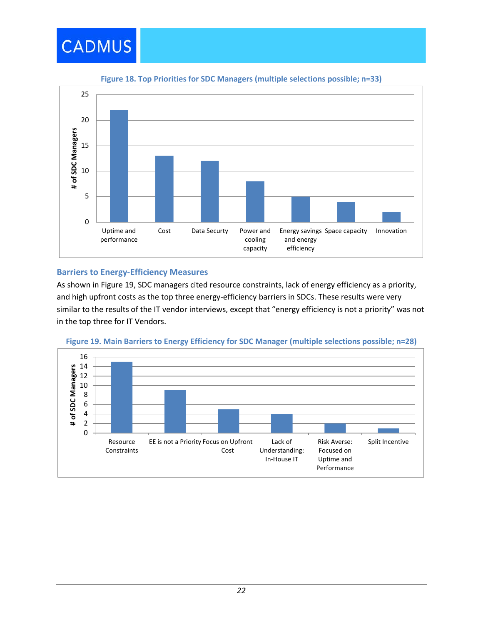<span id="page-25-1"></span>

**Figure 18. Top Priorities for SDC Managers (multiple selections possible; n=33)**

### <span id="page-25-0"></span>**Barriers to Energy-Efficiency Measures**

As shown in [Figure 19,](#page-25-2) SDC managers cited resource constraints, lack of energy efficiency as a priority, and high upfront costs as the top three energy-efficiency barriers in SDCs. These results were very similar to the results of the IT vendor interviews, except that "energy efficiency is not a priority" was not in the top three for IT Vendors.



<span id="page-25-2"></span>**Figure 19. Main Barriers to Energy Efficiency for SDC Manager (multiple selections possible; n=28)**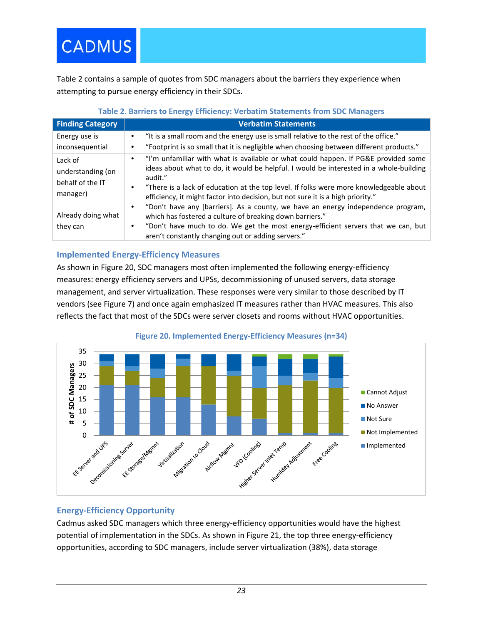[Table 2](#page-26-2) contains a sample of quotes from SDC managers about the barriers they experience when attempting to pursue energy efficiency in their SDCs.

<span id="page-26-2"></span>

| <b>Finding Category</b>                          | <b>Verbatim Statements</b>                                                                                                                                                                                                                                                                   |
|--------------------------------------------------|----------------------------------------------------------------------------------------------------------------------------------------------------------------------------------------------------------------------------------------------------------------------------------------------|
| Energy use is                                    | "It is a small room and the energy use is small relative to the rest of the office."                                                                                                                                                                                                         |
| inconsequential                                  | "Footprint is so small that it is negligible when choosing between different products."                                                                                                                                                                                                      |
| Lack of<br>understanding (on<br>behalf of the IT | "I'm unfamiliar with what is available or what could happen. If PG&E provided some<br>ideas about what to do, it would be helpful. I would be interested in a whole-building<br>audit."                                                                                                      |
| manager)                                         | "There is a lack of education at the top level. If folks were more knowledgeable about<br>$\bullet$<br>efficiency, it might factor into decision, but not sure it is a high priority."                                                                                                       |
| Already doing what<br>they can                   | "Don't have any [barriers]. As a county, we have an energy independence program,<br>٠<br>which has fostered a culture of breaking down barriers."<br>"Don't have much to do. We get the most energy-efficient servers that we can, but<br>aren't constantly changing out or adding servers." |

### <span id="page-26-0"></span>**Implemented Energy-Efficiency Measures**

As shown in [Figure 20,](#page-26-3) SDC managers most often implemented the following energy-efficiency measures: energy efficiency servers and UPSs, decommissioning of unused servers, data storage management, and server virtualization. These responses were very similar to those described by IT vendors (se[e Figure 7\)](#page-15-2) and once again emphasized IT measures rather than HVAC measures. This also reflects the fact that most of the SDCs were server closets and rooms without HVAC opportunities.

<span id="page-26-3"></span>

# <span id="page-26-1"></span>**Energy-Efficiency Opportunity**

Cadmus asked SDC managers which three energy-efficiency opportunities would have the highest potential of implementation in the SDCs. As shown in [Figure 21,](#page-27-2) the top three energy-efficiency opportunities, according to SDC managers, include server virtualization (38%), data storage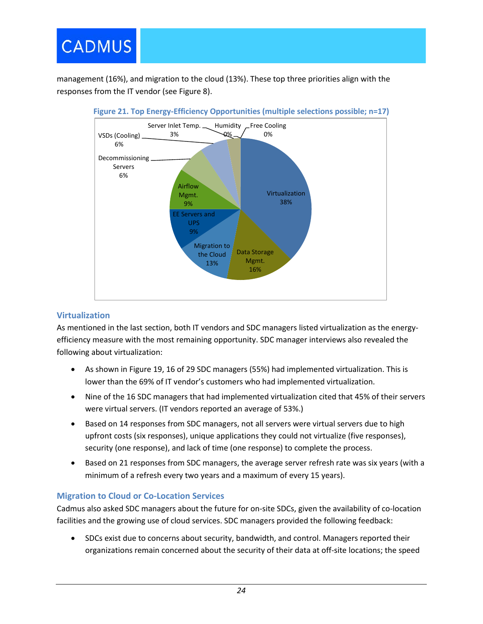<span id="page-27-2"></span>management (16%), and migration to the cloud (13%). These top three priorities align with the responses from the IT vendor (see [Figure 8\)](#page-16-2).



### **Figure 21. Top Energy-Efficiency Opportunities (multiple selections possible; n=17)**

# <span id="page-27-0"></span>**Virtualization**

As mentioned in the last section, both IT vendors and SDC managers listed virtualization as the energyefficiency measure with the most remaining opportunity. SDC manager interviews also revealed the following about virtualization:

- As shown in [Figure 19,](#page-25-2) 16 of 29 SDC managers (55%) had implemented virtualization. This is lower than the 69% of IT vendor's customers who had implemented virtualization.
- Nine of the 16 SDC managers that had implemented virtualization cited that 45% of their servers were virtual servers. (IT vendors reported an average of 53%.)
- Based on 14 responses from SDC managers, not all servers were virtual servers due to high upfront costs (six responses), unique applications they could not virtualize (five responses), security (one response), and lack of time (one response) to complete the process.
- Based on 21 responses from SDC managers, the average server refresh rate was six years (with a minimum of a refresh every two years and a maximum of every 15 years).

# <span id="page-27-1"></span>**Migration to Cloud or Co-Location Services**

Cadmus also asked SDC managers about the future for on-site SDCs, given the availability of co-location facilities and the growing use of cloud services. SDC managers provided the following feedback:

• SDCs exist due to concerns about security, bandwidth, and control. Managers reported their organizations remain concerned about the security of their data at off-site locations; the speed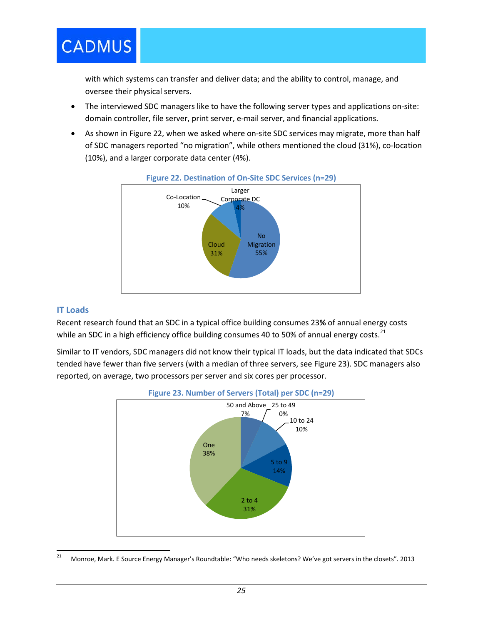

with which systems can transfer and deliver data; and the ability to control, manage, and oversee their physical servers.

- The interviewed SDC managers like to have the following server types and applications on-site: domain controller, file server, print server, e-mail server, and financial applications.
- <span id="page-28-1"></span>As shown in [Figure 22,](#page-28-1) when we asked where on-site SDC services may migrate, more than half of SDC managers reported "no migration", while others mentioned the cloud (31%), co-location (10%), and a larger corporate data center (4%).



# **Figure 22. Destination of On-Site SDC Services (n=29)**

### <span id="page-28-0"></span>**IT Loads**

Recent research found that an SDC in a typical office building consumes 23**%** of annual energy costs while an SDC in a high efficiency office building consumes 40 to 50% of annual energy costs.<sup>[21](#page-28-3)</sup>

<span id="page-28-2"></span>Similar to IT vendors, SDC managers did not know their typical IT loads, but the data indicated that SDCs tended have fewer than five servers (with a median of three servers, see [Figure 23\)](#page-28-2). SDC managers also reported, on average, two processors per server and six cores per processor.



<span id="page-28-3"></span><sup>&</sup>lt;sup>21</sup> Monroe, Mark. E Source Energy Manager's Roundtable: "Who needs skeletons? We've got servers in the closets". 2013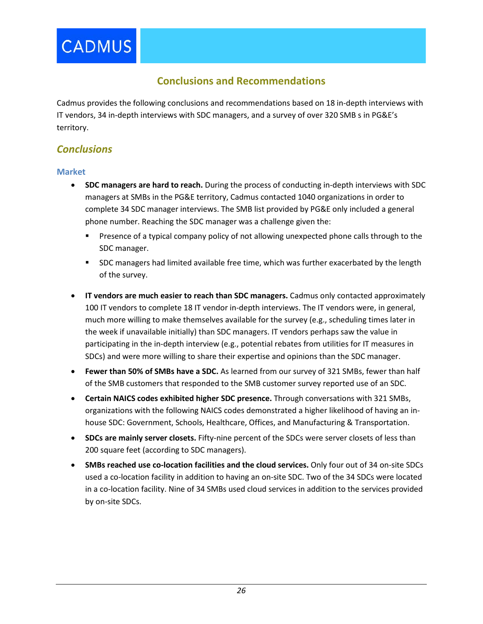# **Conclusions and Recommendations**

<span id="page-29-0"></span>Cadmus provides the following conclusions and recommendations based on 18 in-depth interviews with IT vendors, 34 in-depth interviews with SDC managers, and a survey of over 320 SMB s in PG&E's territory.

# <span id="page-29-1"></span>*Conclusions*

### <span id="page-29-2"></span>**Market**

- **SDC managers are hard to reach.** During the process of conducting in-depth interviews with SDC managers at SMBs in the PG&E territory, Cadmus contacted 1040 organizations in order to complete 34 SDC manager interviews. The SMB list provided by PG&E only included a general phone number. Reaching the SDC manager was a challenge given the:
	- Presence of a typical company policy of not allowing unexpected phone calls through to the SDC manager.
	- **SDC** managers had limited available free time, which was further exacerbated by the length of the survey.
- **IT vendors are much easier to reach than SDC managers.** Cadmus only contacted approximately 100 IT vendors to complete 18 IT vendor in-depth interviews. The IT vendors were, in general, much more willing to make themselves available for the survey (e.g., scheduling times later in the week if unavailable initially) than SDC managers. IT vendors perhaps saw the value in participating in the in-depth interview (e.g., potential rebates from utilities for IT measures in SDCs) and were more willing to share their expertise and opinions than the SDC manager.
- **Fewer than 50% of SMBs have a SDC.** As learned from our survey of 321 SMBs, fewer than half of the SMB customers that responded to the SMB customer survey reported use of an SDC.
- **Certain NAICS codes exhibited higher SDC presence.** Through conversations with 321 SMBs, organizations with the following NAICS codes demonstrated a higher likelihood of having an inhouse SDC: Government, Schools, Healthcare, Offices, and Manufacturing & Transportation.
- **SDCs are mainly server closets.** Fifty-nine percent of the SDCs were server closets of less than 200 square feet (according to SDC managers).
- **SMBs reached use co-location facilities and the cloud services.** Only four out of 34 on-site SDCs used a co-location facility in addition to having an on-site SDC. Two of the 34 SDCs were located in a co-location facility. Nine of 34 SMBs used cloud services in addition to the services provided by on-site SDCs.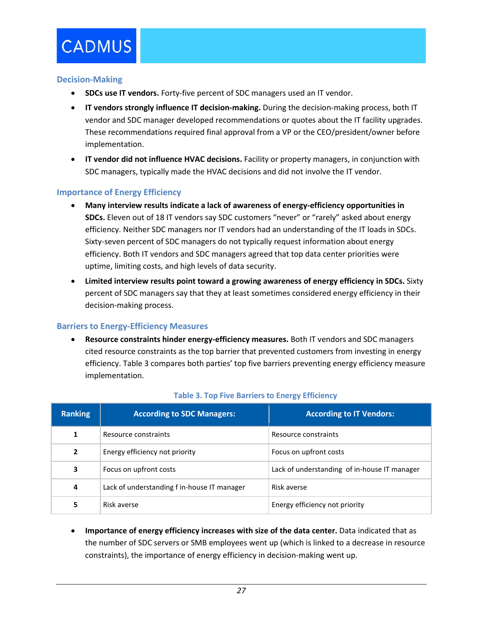#### <span id="page-30-0"></span>**Decision-Making**

- **SDCs use IT vendors.** Forty-five percent of SDC managers used an IT vendor.
- **IT vendors strongly influence IT decision-making.** During the decision-making process, both IT vendor and SDC manager developed recommendations or quotes about the IT facility upgrades. These recommendations required final approval from a VP or the CEO/president/owner before implementation.
- **IT vendor did not influence HVAC decisions.** Facility or property managers, in conjunction with SDC managers, typically made the HVAC decisions and did not involve the IT vendor.

### <span id="page-30-1"></span>**Importance of Energy Efficiency**

- **Many interview results indicate a lack of awareness of energy-efficiency opportunities in SDCs.** Eleven out of 18 IT vendors say SDC customers "never" or "rarely" asked about energy efficiency. Neither SDC managers nor IT vendors had an understanding of the IT loads in SDCs. Sixty-seven percent of SDC managers do not typically request information about energy efficiency. Both IT vendors and SDC managers agreed that top data center priorities were uptime, limiting costs, and high levels of data security.
- **Limited interview results point toward a growing awareness of energy efficiency in SDCs.** Sixty percent of SDC managers say that they at least sometimes considered energy efficiency in their decision-making process.

### <span id="page-30-2"></span>**Barriers to Energy-Efficiency Measures**

• **Resource constraints hinder energy-efficiency measures.** Both IT vendors and SDC managers cited resource constraints as the top barrier that prevented customers from investing in energy efficiency. [Table 3](#page-30-3) compares both parties' top five barriers preventing energy efficiency measure implementation.

<span id="page-30-3"></span>

| <b>Ranking</b> | <b>According to SDC Managers:</b>           | <b>According to IT Vendors:</b>              |  |
|----------------|---------------------------------------------|----------------------------------------------|--|
| 1              | Resource constraints                        | Resource constraints                         |  |
| $\overline{2}$ | Energy efficiency not priority              | Focus on upfront costs                       |  |
| 3              | Focus on upfront costs                      | Lack of understanding of in-house IT manager |  |
| 4              | Lack of understanding f in-house IT manager | Risk averse                                  |  |
| 5              | Risk averse                                 | Energy efficiency not priority               |  |

### **Table 3. Top Five Barriers to Energy Efficiency**

• **Importance of energy efficiency increases with size of the data center.** Data indicated that as the number of SDC servers or SMB employees went up (which is linked to a decrease in resource constraints), the importance of energy efficiency in decision-making went up.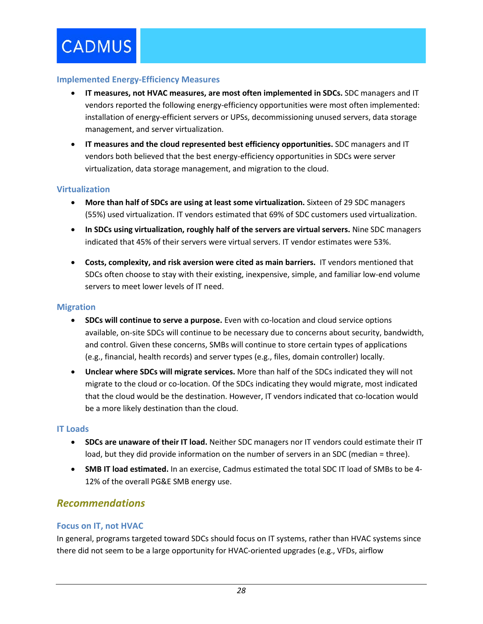#### <span id="page-31-0"></span>**Implemented Energy-Efficiency Measures**

- **IT measures, not HVAC measures, are most often implemented in SDCs.** SDC managers and IT vendors reported the following energy-efficiency opportunities were most often implemented: installation of energy-efficient servers or UPSs, decommissioning unused servers, data storage management, and server virtualization.
- **IT measures and the cloud represented best efficiency opportunities.** SDC managers and IT vendors both believed that the best energy-efficiency opportunities in SDCs were server virtualization, data storage management, and migration to the cloud.

### <span id="page-31-1"></span>**Virtualization**

- **More than half of SDCs are using at least some virtualization.** Sixteen of 29 SDC managers (55%) used virtualization. IT vendors estimated that 69% of SDC customers used virtualization.
- **In SDCs using virtualization, roughly half of the servers are virtual servers.** Nine SDC managers indicated that 45% of their servers were virtual servers. IT vendor estimates were 53%.
- **Costs, complexity, and risk aversion were cited as main barriers.** IT vendors mentioned that SDCs often choose to stay with their existing, inexpensive, simple, and familiar low-end volume servers to meet lower levels of IT need.

#### <span id="page-31-2"></span>**Migration**

- **SDCs will continue to serve a purpose.** Even with co-location and cloud service options available, on-site SDCs will continue to be necessary due to concerns about security, bandwidth, and control. Given these concerns, SMBs will continue to store certain types of applications (e.g., financial, health records) and server types (e.g., files, domain controller) locally.
- **Unclear where SDCs will migrate services.** More than half of the SDCs indicated they will not migrate to the cloud or co-location. Of the SDCs indicating they would migrate, most indicated that the cloud would be the destination. However, IT vendors indicated that co-location would be a more likely destination than the cloud.

#### <span id="page-31-3"></span>**IT Loads**

- **SDCs are unaware of their IT load.** Neither SDC managers nor IT vendors could estimate their IT load, but they did provide information on the number of servers in an SDC (median = three).
- **SMB IT load estimated.** In an exercise, Cadmus estimated the total SDC IT load of SMBs to be 4- 12% of the overall PG&E SMB energy use.

# <span id="page-31-4"></span>*Recommendations*

### <span id="page-31-5"></span>**Focus on IT, not HVAC**

In general, programs targeted toward SDCs should focus on IT systems, rather than HVAC systems since there did not seem to be a large opportunity for HVAC-oriented upgrades (e.g., VFDs, airflow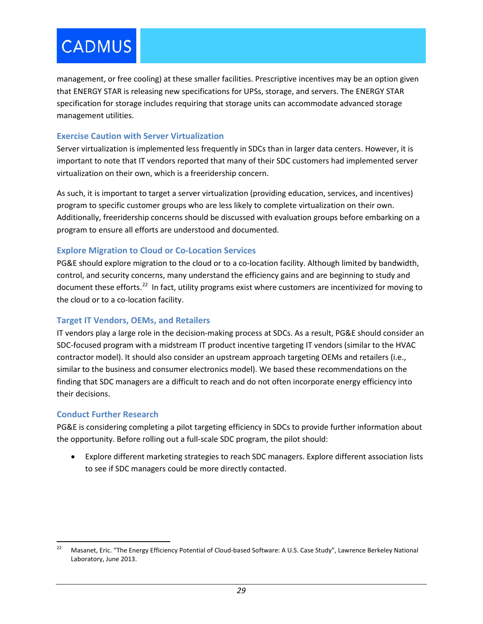management, or free cooling) at these smaller facilities. Prescriptive incentives may be an option given that ENERGY STAR is releasing new specifications for UPSs, storage, and servers. The ENERGY STAR specification for storage includes requiring that storage units can accommodate advanced storage management utilities.

# <span id="page-32-0"></span>**Exercise Caution with Server Virtualization**

Server virtualization is implemented less frequently in SDCs than in larger data centers. However, it is important to note that IT vendors reported that many of their SDC customers had implemented server virtualization on their own, which is a freeridership concern.

As such, it is important to target a server virtualization (providing education, services, and incentives) program to specific customer groups who are less likely to complete virtualization on their own. Additionally, freeridership concerns should be discussed with evaluation groups before embarking on a program to ensure all efforts are understood and documented.

# <span id="page-32-1"></span>**Explore Migration to Cloud or Co-Location Services**

PG&E should explore migration to the cloud or to a co-location facility. Although limited by bandwidth, control, and security concerns, many understand the efficiency gains and are beginning to study and document these efforts.<sup>[22](#page-32-4)</sup> In fact, utility programs exist where customers are incentivized for moving to the cloud or to a co-location facility.

# <span id="page-32-2"></span>**Target IT Vendors, OEMs, and Retailers**

IT vendors play a large role in the decision-making process at SDCs. As a result, PG&E should consider an SDC-focused program with a midstream IT product incentive targeting IT vendors (similar to the HVAC contractor model). It should also consider an upstream approach targeting OEMs and retailers (i.e., similar to the business and consumer electronics model). We based these recommendations on the finding that SDC managers are a difficult to reach and do not often incorporate energy efficiency into their decisions.

# <span id="page-32-3"></span>**Conduct Further Research**

PG&E is considering completing a pilot targeting efficiency in SDCs to provide further information about the opportunity. Before rolling out a full-scale SDC program, the pilot should:

• Explore different marketing strategies to reach SDC managers. Explore different association lists to see if SDC managers could be more directly contacted.

<span id="page-32-4"></span><sup>&</sup>lt;sup>22</sup> Masanet, Eric. "The Energy Efficiency Potential of Cloud-based Software: A U.S. Case Study", Lawrence Berkeley National Laboratory, June 2013.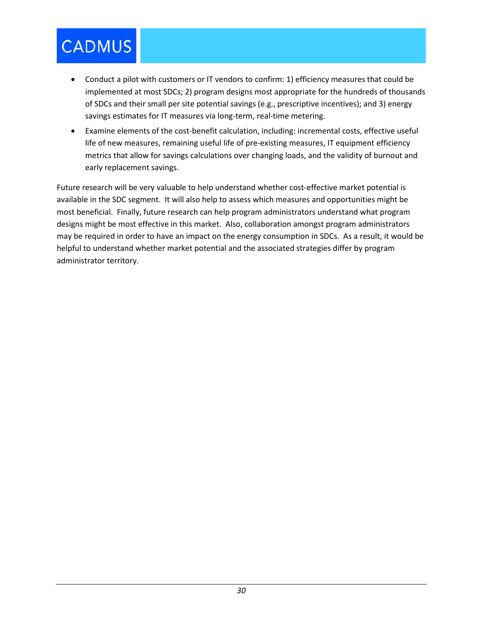- Conduct a pilot with customers or IT vendors to confirm: 1) efficiency measures that could be implemented at most SDCs; 2) program designs most appropriate for the hundreds of thousands of SDCs and their small per site potential savings (e.g., prescriptive incentives); and 3) energy savings estimates for IT measures via long-term, real-time metering.
- Examine elements of the cost-benefit calculation, including: incremental costs, effective useful life of new measures, remaining useful life of pre-existing measures, IT equipment efficiency metrics that allow for savings calculations over changing loads, and the validity of burnout and early replacement savings.

Future research will be very valuable to help understand whether cost-effective market potential is available in the SDC segment. It will also help to assess which measures and opportunities might be most beneficial. Finally, future research can help program administrators understand what program designs might be most effective in this market. Also, collaboration amongst program administrators may be required in order to have an impact on the energy consumption in SDCs. As a result, it would be helpful to understand whether market potential and the associated strategies differ by program administrator territory.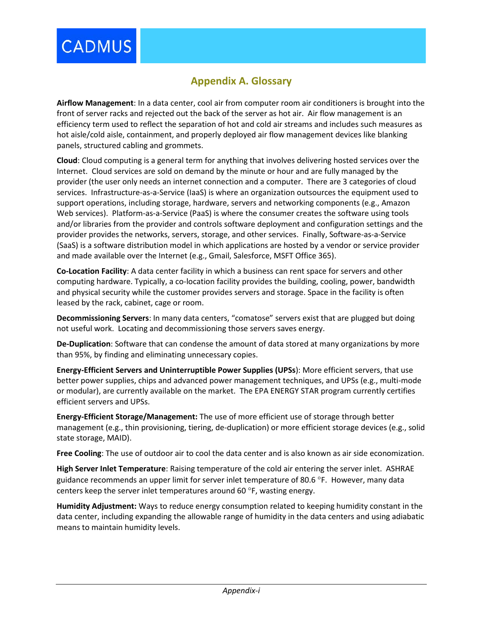

# **Appendix A. Glossary**

<span id="page-34-0"></span>**Airflow Management**: In a data center, cool air from computer room air conditioners is brought into the front of server racks and rejected out the back of the server as hot air. Air flow management is an efficiency term used to reflect the separation of hot and cold air streams and includes such measures as hot aisle/cold aisle, containment, and properly deployed air flow management devices like blanking panels, structured cabling and grommets.

**Cloud**: Cloud computing is a general term for anything that involves delivering hosted services over the Internet. Cloud services are sold on demand by the minute or hour and are fully managed by the provider (the user only needs an internet connection and a computer. There are 3 categories of cloud services. Infrastructure-as-a-Service (IaaS) is where an organization outsources the equipment used to support operations, including storage, hardware, servers and networking components (e.g., Amazon Web services). Platform-as-a-Service (PaaS) is where the consumer creates the software using tools and/or libraries from the provider and controls software deployment and configuration settings and the provider provides the networks, servers, storage, and other services. Finally, Software-as-a-Service (SaaS) is a software distribution model in which applications are hosted by a vendor or service provider and made available over the Internet (e.g., Gmail, Salesforce, MSFT Office 365).

**Co-Location Facility**: A data center facility in which a business can rent space for servers and other computing hardware. Typically, a co-location facility provides the building, cooling, power, bandwidth and physical security while the customer provides servers and storage. Space in the facility is often leased by the rack, cabinet, cage or room.

**Decommissioning Servers**: In many data centers, "comatose" servers exist that are plugged but doing not useful work. Locating and decommissioning those servers saves energy.

**De-Duplication**: Software that can condense the amount of data stored at many organizations by more than 95%, by finding and eliminating unnecessary copies.

**Energy-Efficient Servers and Uninterruptible Power Supplies (UPSs**): More efficient servers, that use better power supplies, chips and advanced power management techniques, and UPSs (e.g., multi-mode or modular), are currently available on the market. The EPA ENERGY STAR program currently certifies efficient servers and UPSs.

**Energy-Efficient Storage/Management:** The use of more efficient use of storage through better management (e.g., thin provisioning, tiering, de-duplication) or more efficient storage devices (e.g., solid state storage, MAID).

**Free Cooling**: The use of outdoor air to cool the data center and is also known as air side economization.

**High Server Inlet Temperature**: Raising temperature of the cold air entering the server inlet. ASHRAE guidance recommends an upper limit for server inlet temperature of 80.6 °F. However, many data centers keep the server inlet temperatures around 60 °F, wasting energy.

**Humidity Adjustment:** Ways to reduce energy consumption related to keeping humidity constant in the data center, including expanding the allowable range of humidity in the data centers and using adiabatic means to maintain humidity levels.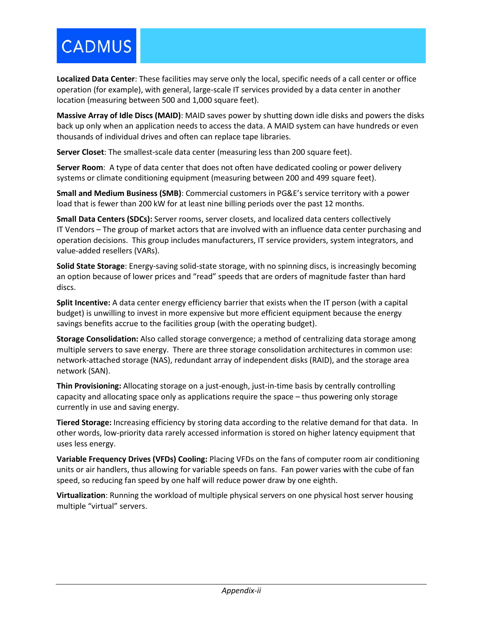**Localized Data Center**: These facilities may serve only the local, specific needs of a call center or office operation (for example), with general, large-scale IT services provided by a data center in another location (measuring between 500 and 1,000 square feet).

**Massive Array of Idle Discs (MAID)**: MAID saves power by shutting down idle disks and powers the disks back up only when an application needs to access the data. A MAID system can have hundreds or even thousands of individual drives and often can replace tape libraries.

**Server Closet**: The smallest-scale data center (measuring less than 200 square feet).

**Server Room**: A type of data center that does not often have dedicated cooling or power delivery systems or climate conditioning equipment (measuring between 200 and 499 square feet).

**Small and Medium Business (SMB)**: Commercial customers in PG&E's service territory with a power load that is fewer than 200 kW for at least nine billing periods over the past 12 months.

**Small Data Centers (SDCs):** Server rooms, server closets, and localized data centers collectively IT Vendors – The group of market actors that are involved with an influence data center purchasing and operation decisions. This group includes manufacturers, IT service providers, system integrators, and value-added resellers (VARs).

**Solid State Storage**: Energy-saving solid-state storage, with no spinning discs, is increasingly becoming an option because of lower prices and "read" speeds that are orders of magnitude faster than hard discs.

**Split Incentive:** A data center energy efficiency barrier that exists when the IT person (with a capital budget) is unwilling to invest in more expensive but more efficient equipment because the energy savings benefits accrue to the facilities group (with the operating budget).

**Storage Consolidation:** Also called storage convergence; a method of centralizing data storage among multiple servers to save energy. There are three storage consolidation architectures in common use: network-attached storage (NAS), redundant array of independent disks (RAID), and the storage area network (SAN).

**Thin Provisioning:** Allocating storage on a just-enough, just-in-time basis by centrally controlling capacity and allocating space only as applications require the space – thus powering only storage currently in use and saving energy.

**Tiered Storage:** Increasing efficiency by storing data according to the relative demand for that data. In other words, low-priority data rarely accessed information is stored on higher latency equipment that uses less energy.

**Variable Frequency Drives (VFDs) Cooling:** Placing VFDs on the fans of computer room air conditioning units or air handlers, thus allowing for variable speeds on fans. Fan power varies with the cube of fan speed, so reducing fan speed by one half will reduce power draw by one eighth.

**Virtualization**: Running the workload of multiple physical servers on one physical host server housing multiple "virtual" servers.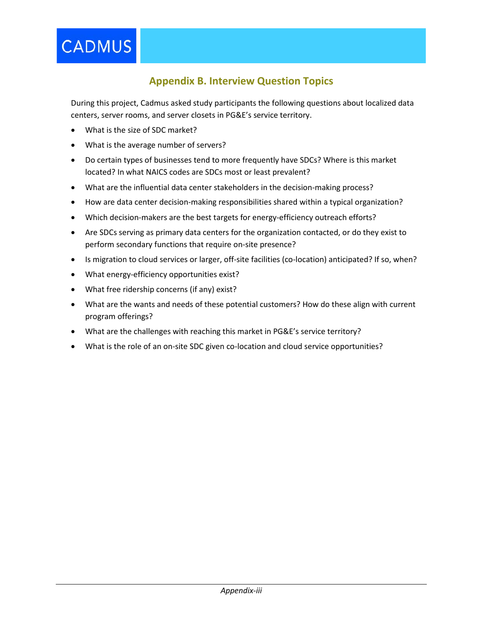# **Appendix B. Interview Question Topics**

<span id="page-36-0"></span>During this project, Cadmus asked study participants the following questions about localized data centers, server rooms, and server closets in PG&E's service territory.

- What is the size of SDC market?
- What is the average number of servers?
- Do certain types of businesses tend to more frequently have SDCs? Where is this market located? In what NAICS codes are SDCs most or least prevalent?
- What are the influential data center stakeholders in the decision-making process?
- How are data center decision-making responsibilities shared within a typical organization?
- Which decision-makers are the best targets for energy-efficiency outreach efforts?
- Are SDCs serving as primary data centers for the organization contacted, or do they exist to perform secondary functions that require on-site presence?
- Is migration to cloud services or larger, off-site facilities (co-location) anticipated? If so, when?
- What energy-efficiency opportunities exist?
- What free ridership concerns (if any) exist?
- What are the wants and needs of these potential customers? How do these align with current program offerings?
- What are the challenges with reaching this market in PG&E's service territory?
- What is the role of an on-site SDC given co-location and cloud service opportunities?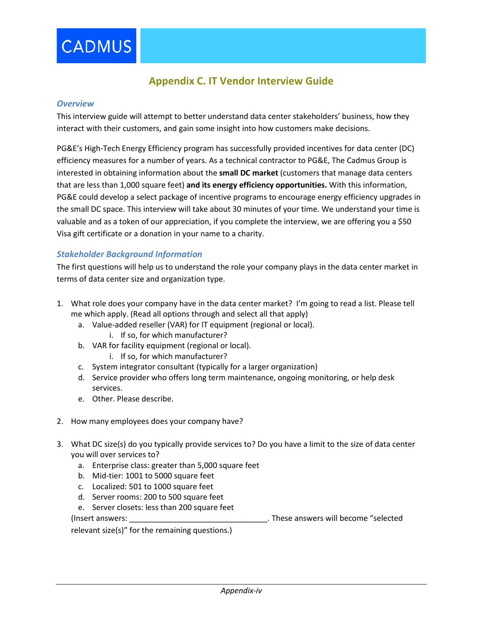# **Appendix C. IT Vendor Interview Guide**

#### <span id="page-37-0"></span>*Overview*

This interview guide will attempt to better understand data center stakeholders' business, how they interact with their customers, and gain some insight into how customers make decisions.

PG&E's High-Tech Energy Efficiency program has successfully provided incentives for data center (DC) efficiency measures for a number of years. As a technical contractor to PG&E, The Cadmus Group is interested in obtaining information about the **small DC market** (customers that manage data centers that are less than 1,000 square feet) **and its energy efficiency opportunities.** With this information, PG&E could develop a select package of incentive programs to encourage energy efficiency upgrades in the small DC space. This interview will take about 30 minutes of your time. We understand your time is valuable and as a token of our appreciation, if you complete the interview, we are offering you a \$50 Visa gift certificate or a donation in your name to a charity.

### *Stakeholder Background Information*

The first questions will help us to understand the role your company plays in the data center market in terms of data center size and organization type.

- 1. What role does your company have in the data center market? I'm going to read a list. Please tell me which apply. (Read all options through and select all that apply)
	- a. Value-added reseller (VAR) for IT equipment (regional or local).
		- i. If so, for which manufacturer?
	- b. VAR for facility equipment (regional or local).
		- i. If so, for which manufacturer?
	- c. System integrator consultant (typically for a larger organization)
	- d. Service provider who offers long term maintenance, ongoing monitoring, or help desk services.
	- e. Other. Please describe.
- 2. How many employees does your company have?
- 3. What DC size(s) do you typically provide services to? Do you have a limit to the size of data center you will over services to?
	- a. Enterprise class: greater than 5,000 square feet
	- b. Mid-tier: 1001 to 5000 square feet
	- c. Localized: 501 to 1000 square feet
	- d. Server rooms: 200 to 500 square feet
	- e. Server closets: less than 200 square feet

(Insert answers: \_\_\_\_\_\_\_\_\_\_\_\_\_\_\_\_\_\_\_\_\_\_\_\_\_\_\_\_\_\_\_\_. These answers will become "selected

relevant size(s)" for the remaining questions.)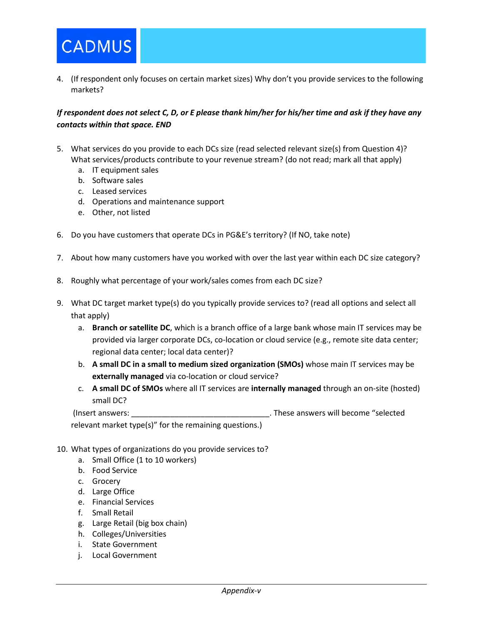

4. (If respondent only focuses on certain market sizes) Why don't you provide services to the following markets?

# *If respondent does not select C, D, or E please thank him/her for his/her time and ask if they have any contacts within that space. END*

- 5. What services do you provide to each DCs size (read selected relevant size(s) from Question 4)? What services/products contribute to your revenue stream? (do not read; mark all that apply)
	- a. IT equipment sales
	- b. Software sales
	- c. Leased services
	- d. Operations and maintenance support
	- e. Other, not listed
- <span id="page-38-0"></span>6. Do you have customers that operate DCs in PG&E's territory? (If NO, take note)
- 7. About how many customers have you worked with over the last year within each DC size category?
- 8. Roughly what percentage of your work/sales comes from each DC size?
- 9. What DC target market type(s) do you typically provide services to? (read all options and select all that apply)
	- a. **Branch or satellite DC**, which is a branch office of a large bank whose main IT services may be provided via larger corporate DCs, co-location or cloud service (e.g., remote site data center; regional data center; local data center)?
	- b. **A small DC in a small to medium sized organization (SMOs)** whose main IT services may be **externally managed** via co-location or cloud service?
	- c. **A small DC of SMOs** where all IT services are **internally managed** through an on-site (hosted) small DC?

(Insert answers: \_\_\_\_\_\_\_\_\_\_\_\_\_\_\_\_\_\_\_\_\_\_\_\_\_\_\_\_\_\_\_\_. These answers will become "selected

relevant market type(s)" for the remaining questions.)

- <span id="page-38-1"></span>10. What types of organizations do you provide services to?
	- a. Small Office (1 to 10 workers)
	- b. Food Service
	- c. Grocery
	- d. Large Office
	- e. Financial Services
	- f. Small Retail
	- g. Large Retail (big box chain)
	- h. Colleges/Universities
	- i. State Government
	- j. Local Government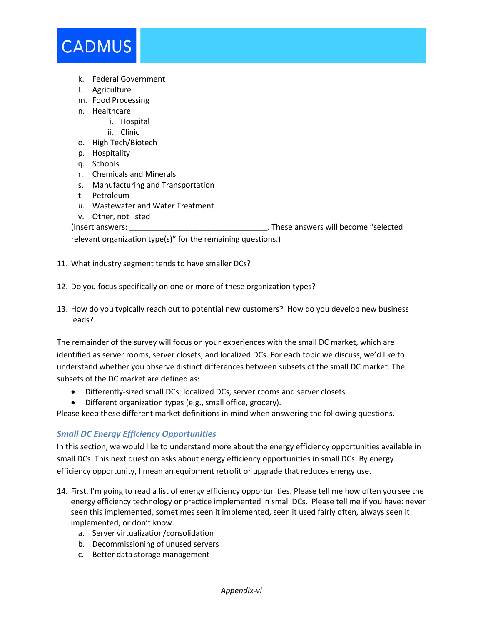

- k. Federal Government
- l. Agriculture
- m. Food Processing
- n. Healthcare
	- i. Hospital
	- ii. Clinic
- o. High Tech/Biotech
- p. Hospitality
- q. Schools
- r. Chemicals and Minerals
- s. Manufacturing and Transportation
- t. Petroleum
- u. Wastewater and Water Treatment
- v. Other, not listed

(Insert answers: \_\_\_\_\_\_\_\_\_\_\_\_\_\_\_\_\_\_\_\_\_\_\_\_\_\_\_\_\_\_\_\_. These answers will become "selected relevant organization type(s)" for the remaining questions.)

- 11. What industry segment tends to have smaller DCs?
- 12. Do you focus specifically on one or more of these organization types?
- 13. How do you typically reach out to potential new customers? How do you develop new business leads?

The remainder of the survey will focus on your experiences with the small DC market, which are identified as server rooms, server closets, and localized DCs. For each topic we discuss, we'd like to understand whether you observe distinct differences between subsets of the small DC market. The subsets of the DC market are defined as:

- Differently-sized small DCs: localized DCs, server rooms and server closets
- Different organization types (e.g., small office, grocery).

Please keep these different market definitions in mind when answering the following questions.

#### *Small DC Energy Efficiency Opportunities*

In this section, we would like to understand more about the energy efficiency opportunities available in small DCs. This next question asks about energy efficiency opportunities in small DCs. By energy efficiency opportunity, I mean an equipment retrofit or upgrade that reduces energy use.

- 14. First, I'm going to read a list of energy efficiency opportunities. Please tell me how often you see the energy efficiency technology or practice implemented in small DCs. Please tell me if you have: never seen this implemented, sometimes seen it implemented, seen it used fairly often, always seen it implemented, or don't know.
	- a. Server virtualization/consolidation
	- b. Decommissioning of unused servers
	- c. Better data storage management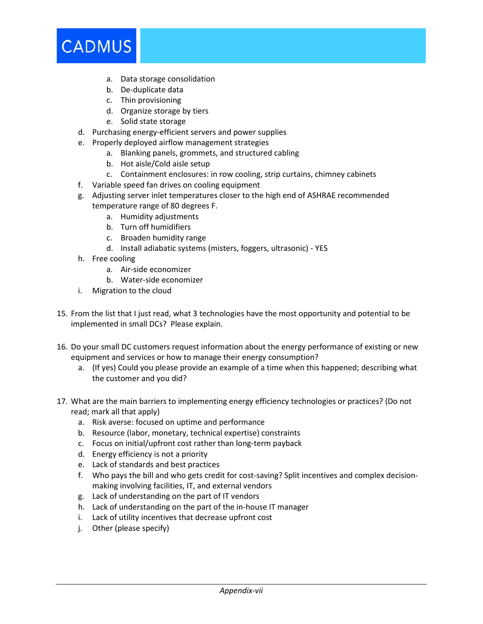

- a. Data storage consolidation
- b. De-duplicate data
- c. Thin provisioning
- d. Organize storage by tiers
- e. Solid state storage
- d. Purchasing energy-efficient servers and power supplies
- e. Properly deployed airflow management strategies
	- a. Blanking panels, grommets, and structured cabling
	- b. Hot aisle/Cold aisle setup
	- c. Containment enclosures: in row cooling, strip curtains, chimney cabinets
- f. Variable speed fan drives on cooling equipment
- g. Adjusting server inlet temperatures closer to the high end of ASHRAE recommended temperature range of 80 degrees F.
	- a. Humidity adjustments
	- b. Turn off humidifiers
	- c. Broaden humidity range
	- d. Install adiabatic systems (misters, foggers, ultrasonic) YES
- h. Free cooling
	- a. Air-side economizer
	- b. Water-side economizer
- i. Migration to the cloud
- 15. From the list that I just read, what 3 technologies have the most opportunity and potential to be implemented in small DCs? Please explain.
- 16. Do your small DC customers request information about the energy performance of existing or new equipment and services or how to manage their energy consumption?
	- a. (If yes) Could you please provide an example of a time when this happened; describing what the customer and you did?
- 17. What are the main barriers to implementing energy efficiency technologies or practices? (Do not read; mark all that apply)
	- a. Risk averse: focused on uptime and performance
	- b. Resource (labor, monetary, technical expertise) constraints
	- c. Focus on initial/upfront cost rather than long-term payback
	- d. Energy efficiency is not a priority
	- e. Lack of standards and best practices
	- f. Who pays the bill and who gets credit for cost-saving? Split incentives and complex decisionmaking involving facilities, IT, and external vendors
	- g. Lack of understanding on the part of IT vendors
	- h. Lack of understanding on the part of the in-house IT manager
	- i. Lack of utility incentives that decrease upfront cost
	- j. Other (please specify)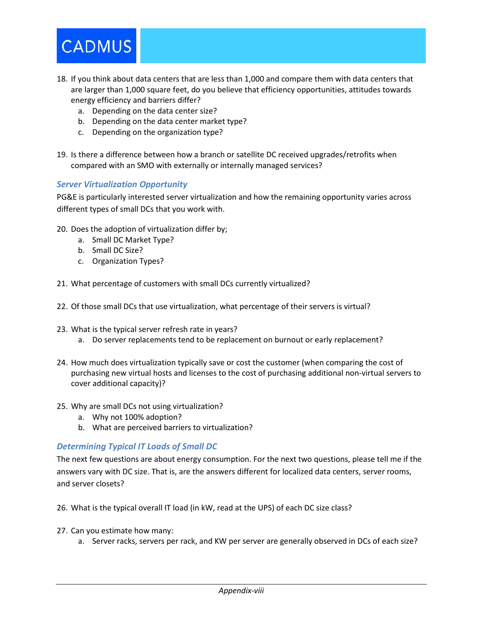

- 18. If you think about data centers that are less than 1,000 and compare them with data centers that are larger than 1,000 square feet, do you believe that efficiency opportunities, attitudes towards energy efficiency and barriers differ?
	- a. Depending on the data center size?
	- b. Depending on the data center market type?
	- c. Depending on the organization type?
- 19. Is there a difference between how a branch or satellite DC received upgrades/retrofits when compared with an SMO with externally or internally managed services?

#### *Server Virtualization Opportunity*

PG&E is particularly interested server virtualization and how the remaining opportunity varies across different types of small DCs that you work with.

- 20. Does the adoption of virtualization differ by;
	- a. Small DC Market Type?
	- b. Small DC Size?
	- c. Organization Types?
- 21. What percentage of customers with small DCs currently virtualized?
- 22. Of those small DCs that use virtualization, what percentage of their servers is virtual?
- 23. What is the typical server refresh rate in years?
	- a. Do server replacements tend to be replacement on burnout or early replacement?
- 24. How much does virtualization typically save or cost the customer (when comparing the cost of purchasing new virtual hosts and licenses to the cost of purchasing additional non-virtual servers to cover additional capacity)?
- 25. Why are small DCs not using virtualization?
	- a. Why not 100% adoption?
	- b. What are perceived barriers to virtualization?

### *Determining Typical IT Loads of Small DC*

The next few questions are about energy consumption. For the next two questions, please tell me if the answers vary with DC size. That is, are the answers different for localized data centers, server rooms, and server closets?

26. What is the typical overall IT load (in kW, read at the UPS) of each DC size class?

- 27. Can you estimate how many:
	- a. Server racks, servers per rack, and KW per server are generally observed in DCs of each size?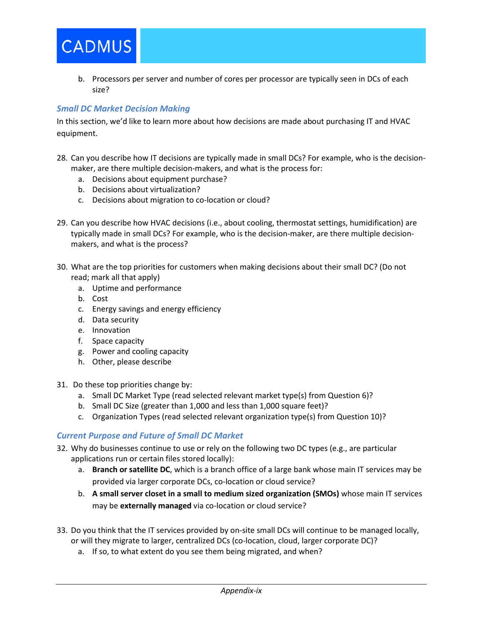

b. Processors per server and number of cores per processor are typically seen in DCs of each size?

### *Small DC Market Decision Making*

In this section, we'd like to learn more about how decisions are made about purchasing IT and HVAC equipment.

- 28. Can you describe how IT decisions are typically made in small DCs? For example, who is the decisionmaker, are there multiple decision-makers, and what is the process for:
	- a. Decisions about equipment purchase?
	- b. Decisions about virtualization?
	- c. Decisions about migration to co-location or cloud?
- 29. Can you describe how HVAC decisions (i.e., about cooling, thermostat settings, humidification) are typically made in small DCs? For example, who is the decision-maker, are there multiple decisionmakers, and what is the process?
- 30. What are the top priorities for customers when making decisions about their small DC? (Do not read; mark all that apply)
	- a. Uptime and performance
	- b. Cost
	- c. Energy savings and energy efficiency
	- d. Data security
	- e. Innovation
	- f. Space capacity
	- g. Power and cooling capacity
	- h. Other, please describe
- 31. Do these top priorities change by:
	- a. Small DC Market Type (read selected relevant market type(s) from Question [6\)](#page-38-0)?
	- b. Small DC Size (greater than 1,000 and less than 1,000 square feet)?
	- c. Organization Types (read selected relevant organization type(s) from Question [10\)](#page-38-1)?

### *Current Purpose and Future of Small DC Market*

- 32. Why do businesses continue to use or rely on the following two DC types (e.g., are particular applications run or certain files stored locally):
	- a. **Branch or satellite DC**, which is a branch office of a large bank whose main IT services may be provided via larger corporate DCs, co-location or cloud service?
	- b. **A small server closet in a small to medium sized organization (SMOs)** whose main IT services may be **externally managed** via co-location or cloud service?
- 33. Do you think that the IT services provided by on-site small DCs will continue to be managed locally, or will they migrate to larger, centralized DCs (co-location, cloud, larger corporate DC)?
	- a. If so, to what extent do you see them being migrated, and when?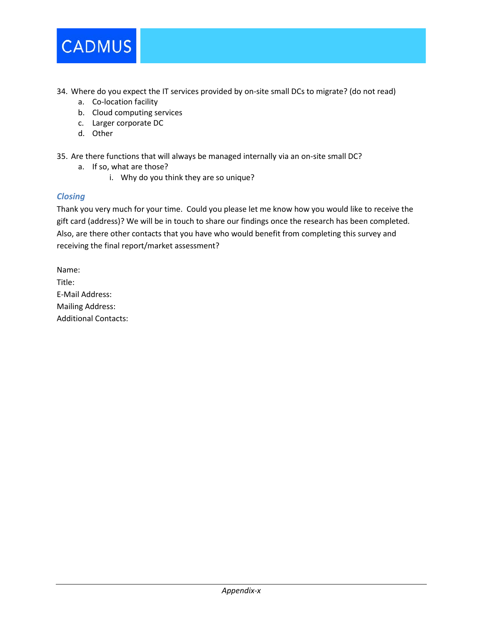

34. Where do you expect the IT services provided by on-site small DCs to migrate? (do not read)

- a. Co-location facility
- b. Cloud computing services
- c. Larger corporate DC
- d. Other

35. Are there functions that will always be managed internally via an on-site small DC?

- a. If so, what are those?
	- i. Why do you think they are so unique?

### *Closing*

Thank you very much for your time. Could you please let me know how you would like to receive the gift card (address)? We will be in touch to share our findings once the research has been completed. Also, are there other contacts that you have who would benefit from completing this survey and receiving the final report/market assessment?

Name: Title: E-Mail Address: Mailing Address: Additional Contacts: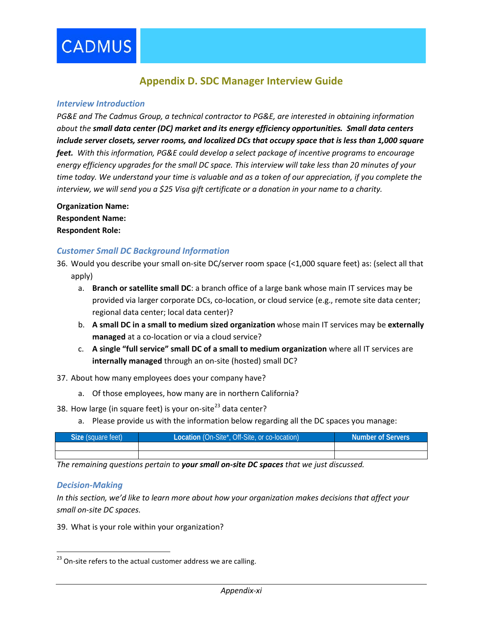# **Appendix D. SDC Manager Interview Guide**

### <span id="page-44-0"></span>*Interview Introduction*

*PG&E and The Cadmus Group, a technical contractor to PG&E, are interested in obtaining information about the small data center (DC) market and its energy efficiency opportunities. Small data centers include server closets, server rooms, and localized DCs that occupy space that is less than 1,000 square feet. With this information, PG&E could develop a select package of incentive programs to encourage energy efficiency upgrades for the small DC space. This interview will take less than 20 minutes of your time today. We understand your time is valuable and as a token of our appreciation, if you complete the interview, we will send you a \$25 Visa gift certificate or a donation in your name to a charity.* 

**Organization Name: Respondent Name: Respondent Role:**

#### *Customer Small DC Background Information*

- 36. Would you describe your small on-site DC/server room space (<1,000 square feet) as: (select all that apply)
	- a. **Branch or satellite small DC**: a branch office of a large bank whose main IT services may be provided via larger corporate DCs, co-location, or cloud service (e.g., remote site data center; regional data center; local data center)?
	- b. **A small DC in a small to medium sized organization** whose main IT services may be **externally managed** at a co-location or via a cloud service?
	- c. **A single "full service" small DC of a small to medium organization** where all IT services are **internally managed** through an on-site (hosted) small DC?

#### 37. About how many employees does your company have?

- a. Of those employees, how many are in northern California?
- 38. How large (in square feet) is your on-site<sup>[23](#page-44-1)</sup> data center?
	- a. Please provide us with the information below regarding all the DC spaces you manage:

| Size (square feet) | Location (On-Site*, Off-Site, or co-location) | Number of Servers |
|--------------------|-----------------------------------------------|-------------------|
|                    |                                               |                   |
|                    |                                               |                   |

*The remaining questions pertain to your small on-site DC spaces that we just discussed.* 

#### *Decision-Making*

*In this section, we'd like to learn more about how your organization makes decisions that affect your small on-site DC spaces.* 

39. What is your role within your organization?

<span id="page-44-1"></span> $23$  On-site refers to the actual customer address we are calling.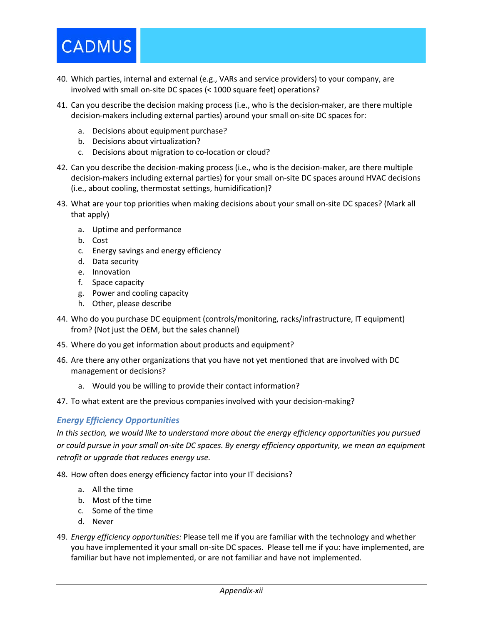- 40. Which parties, internal and external (e.g., VARs and service providers) to your company, are involved with small on-site DC spaces (< 1000 square feet) operations?
- 41. Can you describe the decision making process (i.e., who is the decision-maker, are there multiple decision-makers including external parties) around your small on-site DC spaces for:
	- a. Decisions about equipment purchase?
	- b. Decisions about virtualization?
	- c. Decisions about migration to co-location or cloud?
- 42. Can you describe the decision-making process (i.e., who is the decision-maker, are there multiple decision-makers including external parties) for your small on-site DC spaces around HVAC decisions (i.e., about cooling, thermostat settings, humidification)?
- 43. What are your top priorities when making decisions about your small on-site DC spaces? (Mark all that apply)
	- a. Uptime and performance
	- b. Cost
	- c. Energy savings and energy efficiency
	- d. Data security
	- e. Innovation
	- f. Space capacity
	- g. Power and cooling capacity
	- h. Other, please describe
- 44. Who do you purchase DC equipment (controls/monitoring, racks/infrastructure, IT equipment) from? (Not just the OEM, but the sales channel)
- 45. Where do you get information about products and equipment?
- 46. Are there any other organizations that you have not yet mentioned that are involved with DC management or decisions?
	- a. Would you be willing to provide their contact information?
- 47. To what extent are the previous companies involved with your decision-making?

### *Energy Efficiency Opportunities*

*In this section, we would like to understand more about the energy efficiency opportunities you pursued or could pursue in your small on-site DC spaces. By energy efficiency opportunity, we mean an equipment retrofit or upgrade that reduces energy use.* 

48. How often does energy efficiency factor into your IT decisions?

- a. All the time
- b. Most of the time
- c. Some of the time
- d. Never
- 49. *Energy efficiency opportunities:* Please tell me if you are familiar with the technology and whether you have implemented it your small on-site DC spaces. Please tell me if you: have implemented, are familiar but have not implemented, or are not familiar and have not implemented.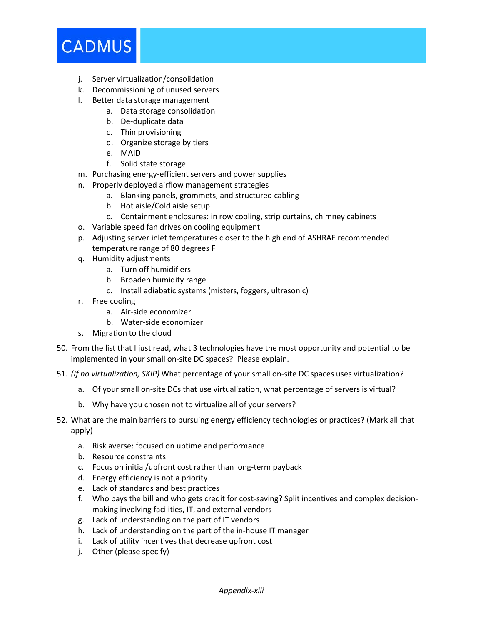- j. Server virtualization/consolidation
- k. Decommissioning of unused servers
- l. Better data storage management
	- a. Data storage consolidation
	- b. De-duplicate data
	- c. Thin provisioning
	- d. Organize storage by tiers
	- e. MAID
	- f. Solid state storage
- m. Purchasing energy-efficient servers and power supplies
- n. Properly deployed airflow management strategies
	- a. Blanking panels, grommets, and structured cabling
	- b. Hot aisle/Cold aisle setup
	- c. Containment enclosures: in row cooling, strip curtains, chimney cabinets
- o. Variable speed fan drives on cooling equipment
- p. Adjusting server inlet temperatures closer to the high end of ASHRAE recommended temperature range of 80 degrees F
- q. Humidity adjustments
	- a. Turn off humidifiers
	- b. Broaden humidity range
	- c. Install adiabatic systems (misters, foggers, ultrasonic)
- r. Free cooling
	- a. Air-side economizer
	- b. Water-side economizer
- s. Migration to the cloud
- 50. From the list that I just read, what 3 technologies have the most opportunity and potential to be implemented in your small on-site DC spaces? Please explain.
- 51. *(If no virtualization, SKIP)* What percentage of your small on-site DC spaces uses virtualization?
	- a. Of your small on-site DCs that use virtualization, what percentage of servers is virtual?
	- b. Why have you chosen not to virtualize all of your servers?
- 52. What are the main barriers to pursuing energy efficiency technologies or practices? (Mark all that apply)
	- a. Risk averse: focused on uptime and performance
	- b. Resource constraints
	- c. Focus on initial/upfront cost rather than long-term payback
	- d. Energy efficiency is not a priority
	- e. Lack of standards and best practices
	- f. Who pays the bill and who gets credit for cost-saving? Split incentives and complex decisionmaking involving facilities, IT, and external vendors
	- g. Lack of understanding on the part of IT vendors
	- h. Lack of understanding on the part of the in-house IT manager
	- i. Lack of utility incentives that decrease upfront cost
	- j. Other (please specify)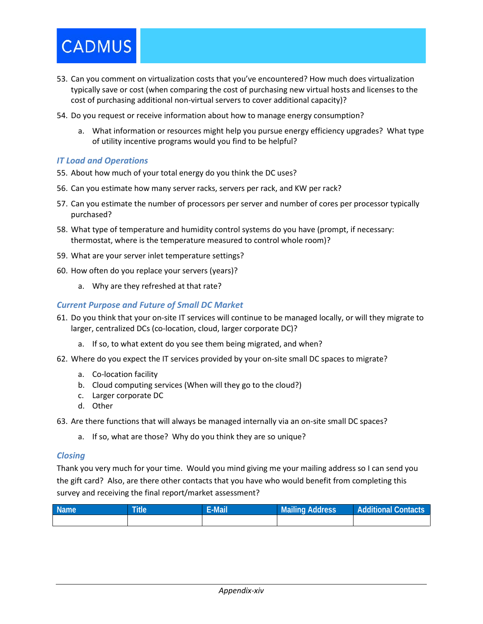

- 53. Can you comment on virtualization costs that you've encountered? How much does virtualization typically save or cost (when comparing the cost of purchasing new virtual hosts and licenses to the cost of purchasing additional non-virtual servers to cover additional capacity)?
- 54. Do you request or receive information about how to manage energy consumption?
	- a. What information or resources might help you pursue energy efficiency upgrades? What type of utility incentive programs would you find to be helpful?

#### *IT Load and Operations*

- 55. About how much of your total energy do you think the DC uses?
- 56. Can you estimate how many server racks, servers per rack, and KW per rack?
- 57. Can you estimate the number of processors per server and number of cores per processor typically purchased?
- 58. What type of temperature and humidity control systems do you have (prompt, if necessary: thermostat, where is the temperature measured to control whole room)?
- 59. What are your server inlet temperature settings?
- 60. How often do you replace your servers (years)?
	- a. Why are they refreshed at that rate?

#### *Current Purpose and Future of Small DC Market*

- 61. Do you think that your on-site IT services will continue to be managed locally, or will they migrate to larger, centralized DCs (co-location, cloud, larger corporate DC)?
	- a. If so, to what extent do you see them being migrated, and when?
- 62. Where do you expect the IT services provided by your on-site small DC spaces to migrate?
	- a. Co-location facility
	- b. Cloud computing services (When will they go to the cloud?)
	- c. Larger corporate DC
	- d. Other
- 63. Are there functions that will always be managed internally via an on-site small DC spaces?
	- a. If so, what are those? Why do you think they are so unique?

#### *Closing*

Thank you very much for your time. Would you mind giving me your mailing address so I can send you the gift card? Also, are there other contacts that you have who would benefit from completing this survey and receiving the final report/market assessment?

| <b>Name</b> | <b>Title</b> | <b>E-Mail</b> | Mailing Address | <b>Additional Contacts</b> |
|-------------|--------------|---------------|-----------------|----------------------------|
|             |              |               |                 |                            |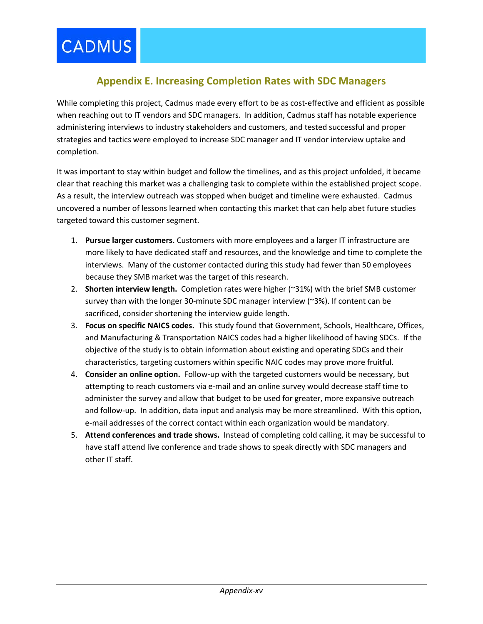# **Appendix E. Increasing Completion Rates with SDC Managers**

<span id="page-48-0"></span>While completing this project, Cadmus made every effort to be as cost-effective and efficient as possible when reaching out to IT vendors and SDC managers. In addition, Cadmus staff has notable experience administering interviews to industry stakeholders and customers, and tested successful and proper strategies and tactics were employed to increase SDC manager and IT vendor interview uptake and completion.

It was important to stay within budget and follow the timelines, and as this project unfolded, it became clear that reaching this market was a challenging task to complete within the established project scope. As a result, the interview outreach was stopped when budget and timeline were exhausted. Cadmus uncovered a number of lessons learned when contacting this market that can help abet future studies targeted toward this customer segment.

- 1. **Pursue larger customers.** Customers with more employees and a larger IT infrastructure are more likely to have dedicated staff and resources, and the knowledge and time to complete the interviews. Many of the customer contacted during this study had fewer than 50 employees because they SMB market was the target of this research.
- 2. **Shorten interview length.** Completion rates were higher (~31%) with the brief SMB customer survey than with the longer 30-minute SDC manager interview (~3%). If content can be sacrificed, consider shortening the interview guide length.
- 3. **Focus on specific NAICS codes.** This study found that Government, Schools, Healthcare, Offices, and Manufacturing & Transportation NAICS codes had a higher likelihood of having SDCs. If the objective of the study is to obtain information about existing and operating SDCs and their characteristics, targeting customers within specific NAIC codes may prove more fruitful.
- 4. **Consider an online option.** Follow-up with the targeted customers would be necessary, but attempting to reach customers via e-mail and an online survey would decrease staff time to administer the survey and allow that budget to be used for greater, more expansive outreach and follow-up. In addition, data input and analysis may be more streamlined. With this option, e-mail addresses of the correct contact within each organization would be mandatory.
- 5. **Attend conferences and trade shows.** Instead of completing cold calling, it may be successful to have staff attend live conference and trade shows to speak directly with SDC managers and other IT staff.